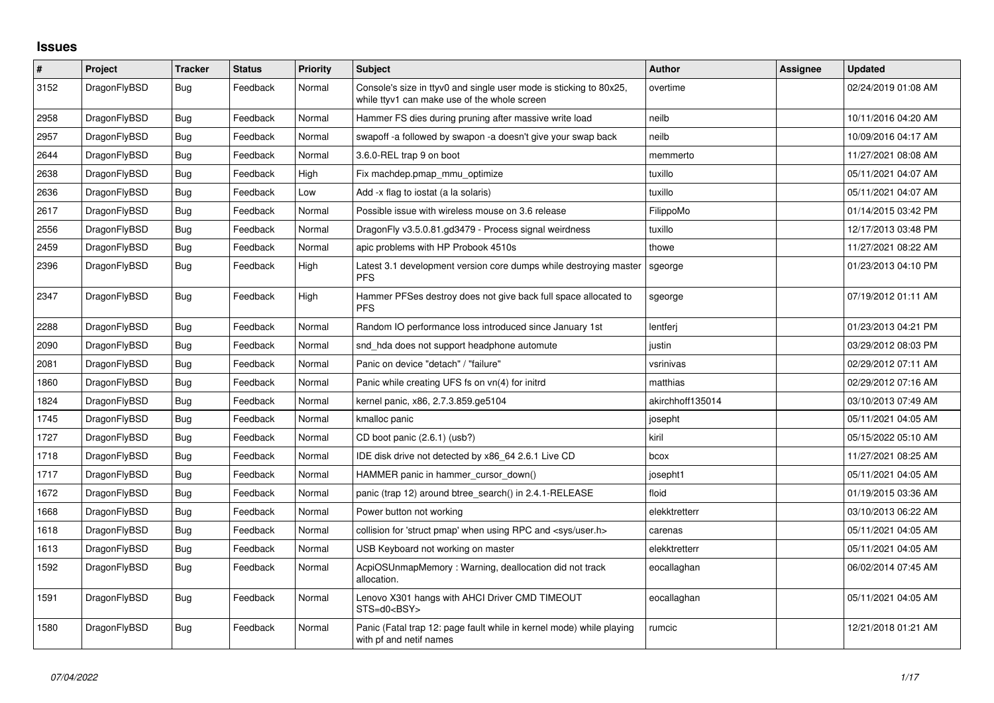## **Issues**

| $\#$ | Project      | <b>Tracker</b> | <b>Status</b> | <b>Priority</b> | <b>Subject</b>                                                                                                     | Author           | Assignee | <b>Updated</b>      |
|------|--------------|----------------|---------------|-----------------|--------------------------------------------------------------------------------------------------------------------|------------------|----------|---------------------|
| 3152 | DragonFlyBSD | Bug            | Feedback      | Normal          | Console's size in ttyv0 and single user mode is sticking to 80x25,<br>while ttyv1 can make use of the whole screen | overtime         |          | 02/24/2019 01:08 AM |
| 2958 | DragonFlyBSD | <b>Bug</b>     | Feedback      | Normal          | Hammer FS dies during pruning after massive write load                                                             | neilb            |          | 10/11/2016 04:20 AM |
| 2957 | DragonFlyBSD | <b>Bug</b>     | Feedback      | Normal          | swapoff -a followed by swapon -a doesn't give your swap back                                                       | neilb            |          | 10/09/2016 04:17 AM |
| 2644 | DragonFlyBSD | Bug            | Feedback      | Normal          | 3.6.0-REL trap 9 on boot                                                                                           | memmerto         |          | 11/27/2021 08:08 AM |
| 2638 | DragonFlyBSD | <b>Bug</b>     | Feedback      | High            | Fix machdep.pmap mmu optimize                                                                                      | tuxillo          |          | 05/11/2021 04:07 AM |
| 2636 | DragonFlyBSD | Bug            | Feedback      | Low             | Add -x flag to iostat (a la solaris)                                                                               | tuxillo          |          | 05/11/2021 04:07 AM |
| 2617 | DragonFlyBSD | <b>Bug</b>     | Feedback      | Normal          | Possible issue with wireless mouse on 3.6 release                                                                  | FilippoMo        |          | 01/14/2015 03:42 PM |
| 2556 | DragonFlyBSD | <b>Bug</b>     | Feedback      | Normal          | DragonFly v3.5.0.81.gd3479 - Process signal weirdness                                                              | tuxillo          |          | 12/17/2013 03:48 PM |
| 2459 | DragonFlyBSD | <b>Bug</b>     | Feedback      | Normal          | apic problems with HP Probook 4510s                                                                                | thowe            |          | 11/27/2021 08:22 AM |
| 2396 | DragonFlyBSD | <b>Bug</b>     | Feedback      | High            | Latest 3.1 development version core dumps while destroying master<br><b>PFS</b>                                    | sgeorge          |          | 01/23/2013 04:10 PM |
| 2347 | DragonFlyBSD | Bug            | Feedback      | High            | Hammer PFSes destroy does not give back full space allocated to<br><b>PFS</b>                                      | sgeorge          |          | 07/19/2012 01:11 AM |
| 2288 | DragonFlyBSD | <b>Bug</b>     | Feedback      | Normal          | Random IO performance loss introduced since January 1st                                                            | lentferi         |          | 01/23/2013 04:21 PM |
| 2090 | DragonFlyBSD | Bug            | Feedback      | Normal          | snd hda does not support headphone automute                                                                        | justin           |          | 03/29/2012 08:03 PM |
| 2081 | DragonFlyBSD | <b>Bug</b>     | Feedback      | Normal          | Panic on device "detach" / "failure"                                                                               | vsrinivas        |          | 02/29/2012 07:11 AM |
| 1860 | DragonFlyBSD | Bug            | Feedback      | Normal          | Panic while creating UFS fs on vn(4) for initrd                                                                    | matthias         |          | 02/29/2012 07:16 AM |
| 1824 | DragonFlyBSD | Bug            | Feedback      | Normal          | kernel panic, x86, 2.7.3.859.ge5104                                                                                | akirchhoff135014 |          | 03/10/2013 07:49 AM |
| 1745 | DragonFlyBSD | <b>Bug</b>     | Feedback      | Normal          | kmalloc panic                                                                                                      | josepht          |          | 05/11/2021 04:05 AM |
| 1727 | DragonFlyBSD | Bug            | Feedback      | Normal          | CD boot panic (2.6.1) (usb?)                                                                                       | kiril            |          | 05/15/2022 05:10 AM |
| 1718 | DragonFlyBSD | Bug            | Feedback      | Normal          | IDE disk drive not detected by x86 64 2.6.1 Live CD                                                                | bcox             |          | 11/27/2021 08:25 AM |
| 1717 | DragonFlyBSD | Bug            | Feedback      | Normal          | HAMMER panic in hammer_cursor_down()                                                                               | josepht1         |          | 05/11/2021 04:05 AM |
| 1672 | DragonFlyBSD | <b>Bug</b>     | Feedback      | Normal          | panic (trap 12) around btree_search() in 2.4.1-RELEASE                                                             | floid            |          | 01/19/2015 03:36 AM |
| 1668 | DragonFlyBSD | Bug            | Feedback      | Normal          | Power button not working                                                                                           | elekktretterr    |          | 03/10/2013 06:22 AM |
| 1618 | DragonFlyBSD | Bug            | Feedback      | Normal          | collision for 'struct pmap' when using RPC and <sys user.h=""></sys>                                               | carenas          |          | 05/11/2021 04:05 AM |
| 1613 | DragonFlyBSD | Bug            | Feedback      | Normal          | USB Keyboard not working on master                                                                                 | elekktretterr    |          | 05/11/2021 04:05 AM |
| 1592 | DragonFlyBSD | <b>Bug</b>     | Feedback      | Normal          | AcpiOSUnmapMemory: Warning, deallocation did not track<br>allocation.                                              | eocallaghan      |          | 06/02/2014 07:45 AM |
| 1591 | DragonFlyBSD | <b>Bug</b>     | Feedback      | Normal          | Lenovo X301 hangs with AHCI Driver CMD TIMEOUT<br>STS=d0 <bsy></bsy>                                               | eocallaghan      |          | 05/11/2021 04:05 AM |
| 1580 | DragonFlyBSD | Bug            | Feedback      | Normal          | Panic (Fatal trap 12: page fault while in kernel mode) while playing<br>with pf and netif names                    | rumcic           |          | 12/21/2018 01:21 AM |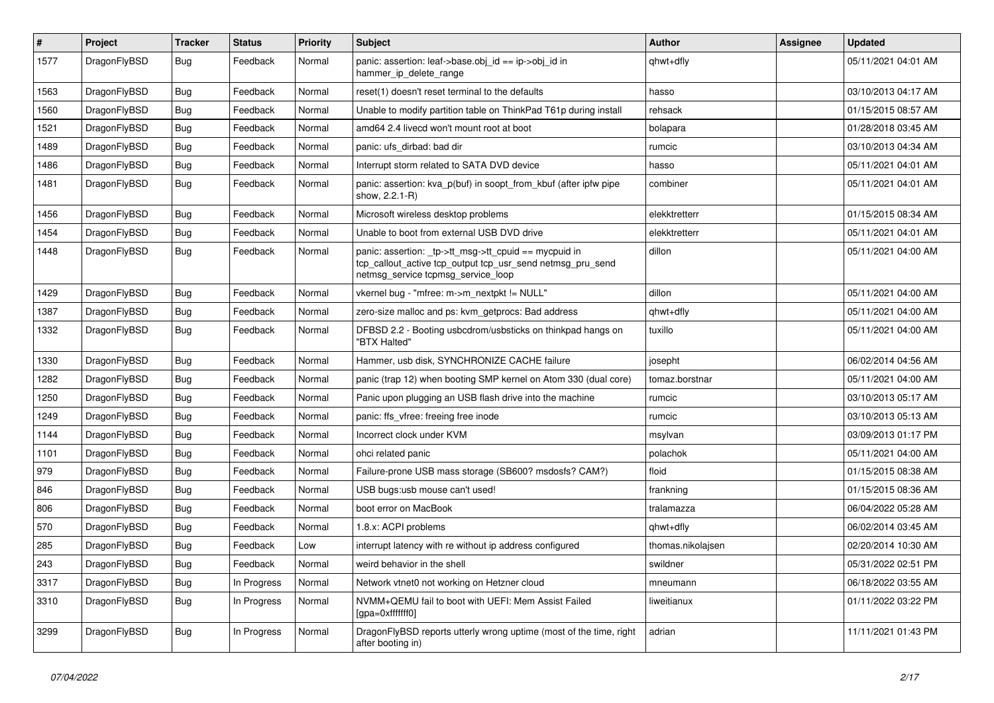| #    | Project      | <b>Tracker</b> | <b>Status</b> | <b>Priority</b> | Subject                                                                                                                                                   | <b>Author</b>     | Assignee | <b>Updated</b>      |
|------|--------------|----------------|---------------|-----------------|-----------------------------------------------------------------------------------------------------------------------------------------------------------|-------------------|----------|---------------------|
| 1577 | DragonFlyBSD | <b>Bug</b>     | Feedback      | Normal          | panic: assertion: leaf->base.obj_id == ip->obj_id in<br>hammer_ip_delete_range                                                                            | qhwt+dfly         |          | 05/11/2021 04:01 AM |
| 1563 | DragonFlyBSD | <b>Bug</b>     | Feedback      | Normal          | reset(1) doesn't reset terminal to the defaults                                                                                                           | hasso             |          | 03/10/2013 04:17 AM |
| 1560 | DragonFlyBSD | Bug            | Feedback      | Normal          | Unable to modify partition table on ThinkPad T61p during install                                                                                          | rehsack           |          | 01/15/2015 08:57 AM |
| 1521 | DragonFlyBSD | <b>Bug</b>     | Feedback      | Normal          | amd64 2.4 livecd won't mount root at boot                                                                                                                 | bolapara          |          | 01/28/2018 03:45 AM |
| 1489 | DragonFlyBSD | <b>Bug</b>     | Feedback      | Normal          | panic: ufs dirbad: bad dir                                                                                                                                | rumcic            |          | 03/10/2013 04:34 AM |
| 1486 | DragonFlyBSD | <b>Bug</b>     | Feedback      | Normal          | Interrupt storm related to SATA DVD device                                                                                                                | hasso             |          | 05/11/2021 04:01 AM |
| 1481 | DragonFlyBSD | <b>Bug</b>     | Feedback      | Normal          | panic: assertion: kva_p(buf) in soopt_from_kbuf (after ipfw pipe<br>show, 2.2.1-R)                                                                        | combiner          |          | 05/11/2021 04:01 AM |
| 1456 | DragonFlyBSD | Bug            | Feedback      | Normal          | Microsoft wireless desktop problems                                                                                                                       | elekktretterr     |          | 01/15/2015 08:34 AM |
| 1454 | DragonFlyBSD | <b>Bug</b>     | Feedback      | Normal          | Unable to boot from external USB DVD drive                                                                                                                | elekktretterr     |          | 05/11/2021 04:01 AM |
| 1448 | DragonFlyBSD | <b>Bug</b>     | Feedback      | Normal          | panic: assertion: _tp->tt_msg->tt_cpuid == mycpuid in<br>tcp_callout_active tcp_output tcp_usr_send netmsg_pru_send<br>netmsg service tcpmsg service loop | dillon            |          | 05/11/2021 04:00 AM |
| 1429 | DragonFlyBSD | <b>Bug</b>     | Feedback      | Normal          | vkernel bug - "mfree: m->m_nextpkt != NULL"                                                                                                               | dillon            |          | 05/11/2021 04:00 AM |
| 1387 | DragonFlyBSD | Bug            | Feedback      | Normal          | zero-size malloc and ps: kvm_getprocs: Bad address                                                                                                        | qhwt+dfly         |          | 05/11/2021 04:00 AM |
| 1332 | DragonFlyBSD | Bug            | Feedback      | Normal          | DFBSD 2.2 - Booting usbcdrom/usbsticks on thinkpad hangs on<br>"BTX Halted"                                                                               | tuxillo           |          | 05/11/2021 04:00 AM |
| 1330 | DragonFlyBSD | <b>Bug</b>     | Feedback      | Normal          | Hammer, usb disk, SYNCHRONIZE CACHE failure                                                                                                               | josepht           |          | 06/02/2014 04:56 AM |
| 1282 | DragonFlyBSD | Bug            | Feedback      | Normal          | panic (trap 12) when booting SMP kernel on Atom 330 (dual core)                                                                                           | tomaz.borstnar    |          | 05/11/2021 04:00 AM |
| 1250 | DragonFlyBSD | Bug            | Feedback      | Normal          | Panic upon plugging an USB flash drive into the machine                                                                                                   | rumcic            |          | 03/10/2013 05:17 AM |
| 1249 | DragonFlyBSD | <b>Bug</b>     | Feedback      | Normal          | panic: ffs vfree: freeing free inode                                                                                                                      | rumcic            |          | 03/10/2013 05:13 AM |
| 1144 | DragonFlyBSD | <b>Bug</b>     | Feedback      | Normal          | Incorrect clock under KVM                                                                                                                                 | msylvan           |          | 03/09/2013 01:17 PM |
| 1101 | DragonFlyBSD | Bug            | Feedback      | Normal          | ohci related panic                                                                                                                                        | polachok          |          | 05/11/2021 04:00 AM |
| 979  | DragonFlyBSD | Bug            | Feedback      | Normal          | Failure-prone USB mass storage (SB600? msdosfs? CAM?)                                                                                                     | floid             |          | 01/15/2015 08:38 AM |
| 846  | DragonFlyBSD | <b>Bug</b>     | Feedback      | Normal          | USB bugs:usb mouse can't used!                                                                                                                            | frankning         |          | 01/15/2015 08:36 AM |
| 806  | DragonFlyBSD | Bug            | Feedback      | Normal          | boot error on MacBook                                                                                                                                     | tralamazza        |          | 06/04/2022 05:28 AM |
| 570  | DragonFlyBSD | Bug            | Feedback      | Normal          | 1.8.x: ACPI problems                                                                                                                                      | qhwt+dfly         |          | 06/02/2014 03:45 AM |
| 285  | DragonFlyBSD | Bug            | Feedback      | Low             | interrupt latency with re without ip address configured                                                                                                   | thomas.nikolajsen |          | 02/20/2014 10:30 AM |
| 243  | DragonFlyBSD | <b>Bug</b>     | Feedback      | Normal          | weird behavior in the shell                                                                                                                               | swildner          |          | 05/31/2022 02:51 PM |
| 3317 | DragonFlyBSD | Bug            | In Progress   | Normal          | Network vtnet0 not working on Hetzner cloud                                                                                                               | mneumann          |          | 06/18/2022 03:55 AM |
| 3310 | DragonFlyBSD | <b>Bug</b>     | In Progress   | Normal          | NVMM+QEMU fail to boot with UEFI: Mem Assist Failed<br>[gpa=0xfffffff0]                                                                                   | liweitianux       |          | 01/11/2022 03:22 PM |
| 3299 | DragonFlyBSD | <b>Bug</b>     | In Progress   | Normal          | DragonFlyBSD reports utterly wrong uptime (most of the time, right<br>after booting in)                                                                   | adrian            |          | 11/11/2021 01:43 PM |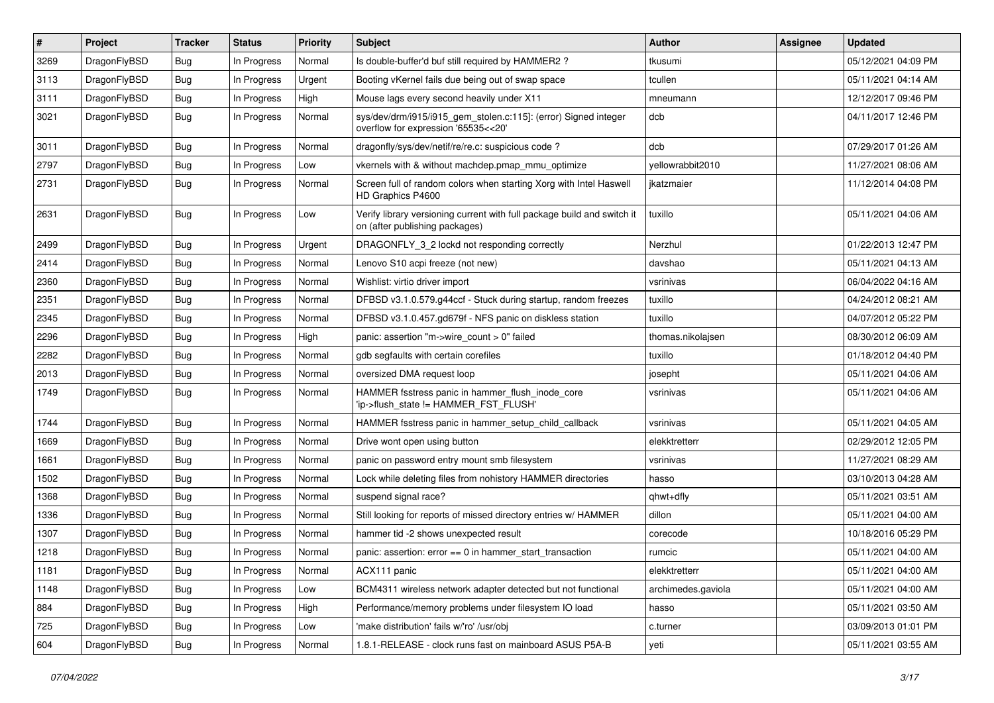| $\vert$ # | Project      | <b>Tracker</b> | <b>Status</b> | <b>Priority</b> | Subject                                                                                                   | <b>Author</b>      | Assignee | <b>Updated</b>      |
|-----------|--------------|----------------|---------------|-----------------|-----------------------------------------------------------------------------------------------------------|--------------------|----------|---------------------|
| 3269      | DragonFlyBSD | Bug            | In Progress   | Normal          | Is double-buffer'd buf still required by HAMMER2 ?                                                        | tkusumi            |          | 05/12/2021 04:09 PM |
| 3113      | DragonFlyBSD | <b>Bug</b>     | In Progress   | Urgent          | Booting vKernel fails due being out of swap space                                                         | tcullen            |          | 05/11/2021 04:14 AM |
| 3111      | DragonFlyBSD | <b>Bug</b>     | In Progress   | High            | Mouse lags every second heavily under X11                                                                 | mneumann           |          | 12/12/2017 09:46 PM |
| 3021      | DragonFlyBSD | Bug            | In Progress   | Normal          | sys/dev/drm/i915/i915_gem_stolen.c:115]: (error) Signed integer<br>overflow for expression '65535<<20'    | dcb                |          | 04/11/2017 12:46 PM |
| 3011      | DragonFlyBSD | <b>Bug</b>     | In Progress   | Normal          | dragonfly/sys/dev/netif/re/re.c: suspicious code?                                                         | dcb                |          | 07/29/2017 01:26 AM |
| 2797      | DragonFlyBSD | <b>Bug</b>     | In Progress   | Low             | vkernels with & without machdep.pmap_mmu_optimize                                                         | yellowrabbit2010   |          | 11/27/2021 08:06 AM |
| 2731      | DragonFlyBSD | Bug            | In Progress   | Normal          | Screen full of random colors when starting Xorg with Intel Haswell<br>HD Graphics P4600                   | jkatzmaier         |          | 11/12/2014 04:08 PM |
| 2631      | DragonFlyBSD | <b>Bug</b>     | In Progress   | Low             | Verify library versioning current with full package build and switch it<br>on (after publishing packages) | tuxillo            |          | 05/11/2021 04:06 AM |
| 2499      | DragonFlyBSD | <b>Bug</b>     | In Progress   | Urgent          | DRAGONFLY 3 2 lockd not responding correctly                                                              | Nerzhul            |          | 01/22/2013 12:47 PM |
| 2414      | DragonFlyBSD | <b>Bug</b>     | In Progress   | Normal          | Lenovo S10 acpi freeze (not new)                                                                          | davshao            |          | 05/11/2021 04:13 AM |
| 2360      | DragonFlyBSD | <b>Bug</b>     | In Progress   | Normal          | Wishlist: virtio driver import                                                                            | vsrinivas          |          | 06/04/2022 04:16 AM |
| 2351      | DragonFlyBSD | <b>Bug</b>     | In Progress   | Normal          | DFBSD v3.1.0.579.g44ccf - Stuck during startup, random freezes                                            | tuxillo            |          | 04/24/2012 08:21 AM |
| 2345      | DragonFlyBSD | <b>Bug</b>     | In Progress   | Normal          | DFBSD v3.1.0.457.gd679f - NFS panic on diskless station                                                   | tuxillo            |          | 04/07/2012 05:22 PM |
| 2296      | DragonFlyBSD | <b>Bug</b>     | In Progress   | High            | panic: assertion "m->wire count > 0" failed                                                               | thomas.nikolajsen  |          | 08/30/2012 06:09 AM |
| 2282      | DragonFlyBSD | Bug            | In Progress   | Normal          | gdb segfaults with certain corefiles                                                                      | tuxillo            |          | 01/18/2012 04:40 PM |
| 2013      | DragonFlyBSD | <b>Bug</b>     | In Progress   | Normal          | oversized DMA request loop                                                                                | josepht            |          | 05/11/2021 04:06 AM |
| 1749      | DragonFlyBSD | Bug            | In Progress   | Normal          | HAMMER fsstress panic in hammer_flush_inode_core<br>'ip->flush_state != HAMMER_FST_FLUSH'                 | vsrinivas          |          | 05/11/2021 04:06 AM |
| 1744      | DragonFlyBSD | Bug            | In Progress   | Normal          | HAMMER fsstress panic in hammer_setup_child_callback                                                      | vsrinivas          |          | 05/11/2021 04:05 AM |
| 1669      | DragonFlyBSD | <b>Bug</b>     | In Progress   | Normal          | Drive wont open using button                                                                              | elekktretterr      |          | 02/29/2012 12:05 PM |
| 1661      | DragonFlyBSD | <b>Bug</b>     | In Progress   | Normal          | panic on password entry mount smb filesystem                                                              | vsrinivas          |          | 11/27/2021 08:29 AM |
| 1502      | DragonFlyBSD | <b>Bug</b>     | In Progress   | Normal          | Lock while deleting files from nohistory HAMMER directories                                               | hasso              |          | 03/10/2013 04:28 AM |
| 1368      | DragonFlyBSD | Bug            | In Progress   | Normal          | suspend signal race?                                                                                      | qhwt+dfly          |          | 05/11/2021 03:51 AM |
| 1336      | DragonFlyBSD | <b>Bug</b>     | In Progress   | Normal          | Still looking for reports of missed directory entries w/ HAMMER                                           | dillon             |          | 05/11/2021 04:00 AM |
| 1307      | DragonFlyBSD | <b>Bug</b>     | In Progress   | Normal          | hammer tid -2 shows unexpected result                                                                     | corecode           |          | 10/18/2016 05:29 PM |
| 1218      | DragonFlyBSD | <b>Bug</b>     | In Progress   | Normal          | panic: assertion: $error == 0$ in hammer start transaction                                                | rumcic             |          | 05/11/2021 04:00 AM |
| 1181      | DragonFlyBSD | <b>Bug</b>     | In Progress   | Normal          | ACX111 panic                                                                                              | elekktretterr      |          | 05/11/2021 04:00 AM |
| 1148      | DragonFlyBSD | Bug            | In Progress   | Low             | BCM4311 wireless network adapter detected but not functional                                              | archimedes.gaviola |          | 05/11/2021 04:00 AM |
| 884       | DragonFlyBSD | <b>Bug</b>     | In Progress   | High            | Performance/memory problems under filesystem IO load                                                      | hasso              |          | 05/11/2021 03:50 AM |
| 725       | DragonFlyBSD | <b>Bug</b>     | In Progress   | Low             | 'make distribution' fails w/'ro' /usr/obj                                                                 | c.turner           |          | 03/09/2013 01:01 PM |
| 604       | DragonFlyBSD | <b>Bug</b>     | In Progress   | Normal          | 1.8.1-RELEASE - clock runs fast on mainboard ASUS P5A-B                                                   | yeti               |          | 05/11/2021 03:55 AM |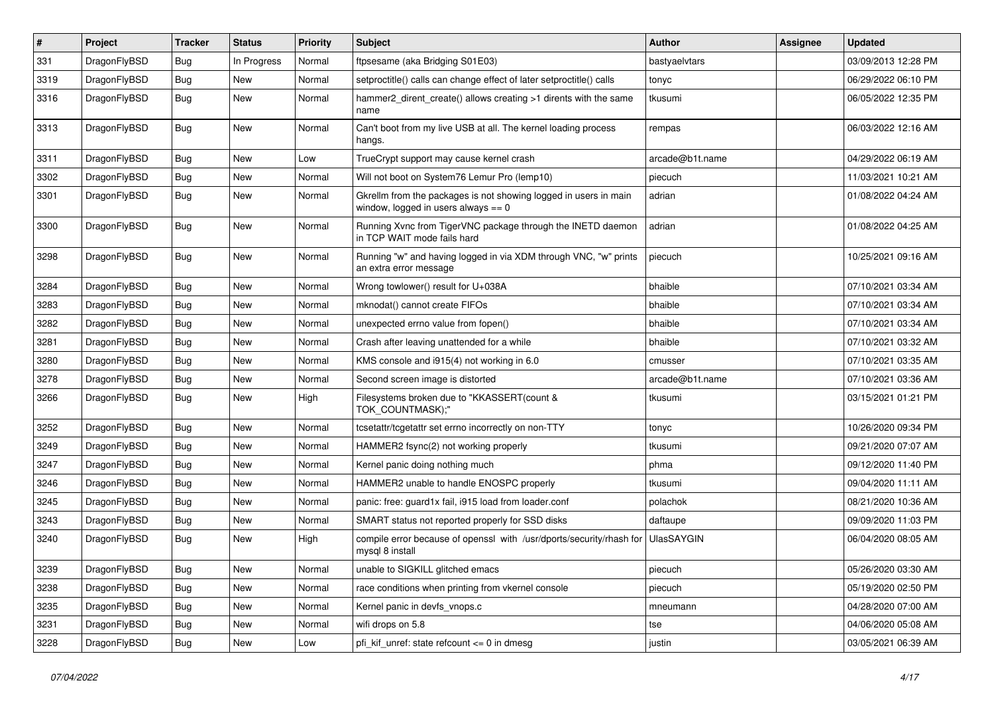| $\sharp$ | Project      | <b>Tracker</b> | <b>Status</b> | <b>Priority</b> | Subject                                                                                                   | <b>Author</b>     | Assignee | <b>Updated</b>      |
|----------|--------------|----------------|---------------|-----------------|-----------------------------------------------------------------------------------------------------------|-------------------|----------|---------------------|
| 331      | DragonFlyBSD | <b>Bug</b>     | In Progress   | Normal          | ftpsesame (aka Bridging S01E03)                                                                           | bastyaelvtars     |          | 03/09/2013 12:28 PM |
| 3319     | DragonFlyBSD | <b>Bug</b>     | <b>New</b>    | Normal          | setproctitle() calls can change effect of later setproctitle() calls                                      | tonyc             |          | 06/29/2022 06:10 PM |
| 3316     | DragonFlyBSD | Bug            | New           | Normal          | hammer2_dirent_create() allows creating >1 dirents with the same<br>name                                  | tkusumi           |          | 06/05/2022 12:35 PM |
| 3313     | DragonFlyBSD | <b>Bug</b>     | New           | Normal          | Can't boot from my live USB at all. The kernel loading process<br>hangs.                                  | rempas            |          | 06/03/2022 12:16 AM |
| 3311     | DragonFlyBSD | Bug            | <b>New</b>    | Low             | TrueCrypt support may cause kernel crash                                                                  | arcade@b1t.name   |          | 04/29/2022 06:19 AM |
| 3302     | DragonFlyBSD | Bug            | New           | Normal          | Will not boot on System76 Lemur Pro (lemp10)                                                              | piecuch           |          | 11/03/2021 10:21 AM |
| 3301     | DragonFlyBSD | Bug            | New           | Normal          | Gkrellm from the packages is not showing logged in users in main<br>window, logged in users always $== 0$ | adrian            |          | 01/08/2022 04:24 AM |
| 3300     | DragonFlyBSD | Bug            | New           | Normal          | Running Xvnc from TigerVNC package through the INETD daemon<br>in TCP WAIT mode fails hard                | adrian            |          | 01/08/2022 04:25 AM |
| 3298     | DragonFlyBSD | <b>Bug</b>     | New           | Normal          | Running "w" and having logged in via XDM through VNC, "w" prints<br>an extra error message                | piecuch           |          | 10/25/2021 09:16 AM |
| 3284     | DragonFlyBSD | Bug            | New           | Normal          | Wrong towlower() result for U+038A                                                                        | bhaible           |          | 07/10/2021 03:34 AM |
| 3283     | DragonFlyBSD | Bug            | New           | Normal          | mknodat() cannot create FIFOs                                                                             | bhaible           |          | 07/10/2021 03:34 AM |
| 3282     | DragonFlyBSD | Bug            | <b>New</b>    | Normal          | unexpected errno value from fopen()                                                                       | bhaible           |          | 07/10/2021 03:34 AM |
| 3281     | DragonFlyBSD | Bug            | New           | Normal          | Crash after leaving unattended for a while                                                                | bhaible           |          | 07/10/2021 03:32 AM |
| 3280     | DragonFlyBSD | Bug            | <b>New</b>    | Normal          | KMS console and i915(4) not working in 6.0                                                                | cmusser           |          | 07/10/2021 03:35 AM |
| 3278     | DragonFlyBSD | <b>Bug</b>     | <b>New</b>    | Normal          | Second screen image is distorted                                                                          | arcade@b1t.name   |          | 07/10/2021 03:36 AM |
| 3266     | DragonFlyBSD | Bug            | New           | High            | Filesystems broken due to "KKASSERT(count &<br>TOK_COUNTMASK);"                                           | tkusumi           |          | 03/15/2021 01:21 PM |
| 3252     | DragonFlyBSD | Bug            | New           | Normal          | tcsetattr/tcgetattr set errno incorrectly on non-TTY                                                      | tonyc             |          | 10/26/2020 09:34 PM |
| 3249     | DragonFlyBSD | <b>Bug</b>     | New           | Normal          | HAMMER2 fsync(2) not working properly                                                                     | tkusumi           |          | 09/21/2020 07:07 AM |
| 3247     | DragonFlyBSD | <b>Bug</b>     | New           | Normal          | Kernel panic doing nothing much                                                                           | phma              |          | 09/12/2020 11:40 PM |
| 3246     | DragonFlyBSD | Bug            | <b>New</b>    | Normal          | HAMMER2 unable to handle ENOSPC properly                                                                  | tkusumi           |          | 09/04/2020 11:11 AM |
| 3245     | DragonFlyBSD | <b>Bug</b>     | New           | Normal          | panic: free: guard1x fail, i915 load from loader.conf                                                     | polachok          |          | 08/21/2020 10:36 AM |
| 3243     | DragonFlyBSD | <b>Bug</b>     | <b>New</b>    | Normal          | SMART status not reported properly for SSD disks                                                          | daftaupe          |          | 09/09/2020 11:03 PM |
| 3240     | DragonFlyBSD | Bug            | New           | High            | compile error because of openssl with /usr/dports/security/rhash for<br>mysql 8 install                   | <b>UlasSAYGIN</b> |          | 06/04/2020 08:05 AM |
| 3239     | DragonFlyBSD | <b>Bug</b>     | <b>New</b>    | Normal          | unable to SIGKILL glitched emacs                                                                          | piecuch           |          | 05/26/2020 03:30 AM |
| 3238     | DragonFlyBSD | <b>Bug</b>     | New           | Normal          | race conditions when printing from vkernel console                                                        | piecuch           |          | 05/19/2020 02:50 PM |
| 3235     | DragonFlyBSD | <b>Bug</b>     | <b>New</b>    | Normal          | Kernel panic in devfs_vnops.c                                                                             | mneumann          |          | 04/28/2020 07:00 AM |
| 3231     | DragonFlyBSD | <b>Bug</b>     | <b>New</b>    | Normal          | wifi drops on 5.8                                                                                         | tse               |          | 04/06/2020 05:08 AM |
| 3228     | DragonFlyBSD | <b>Bug</b>     | New           | Low             | pfi_kif_unref: state refcount <= 0 in dmesg                                                               | justin            |          | 03/05/2021 06:39 AM |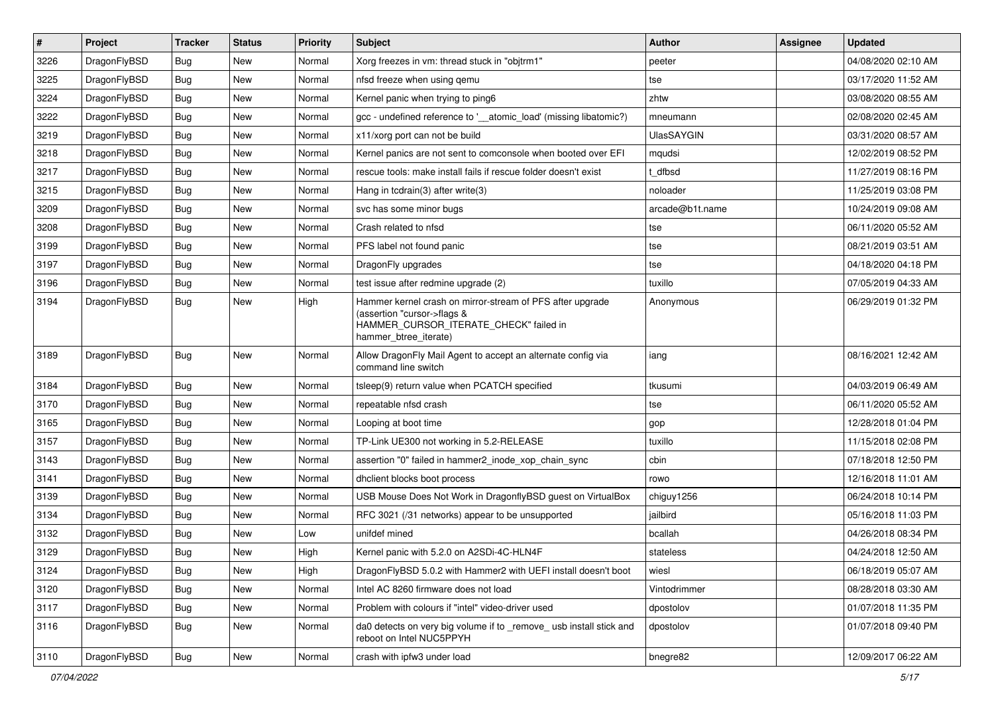| $\pmb{\#}$ | Project      | <b>Tracker</b> | <b>Status</b> | <b>Priority</b> | Subject                                                                                                                                                     | <b>Author</b>     | <b>Assignee</b> | <b>Updated</b>      |
|------------|--------------|----------------|---------------|-----------------|-------------------------------------------------------------------------------------------------------------------------------------------------------------|-------------------|-----------------|---------------------|
| 3226       | DragonFlyBSD | Bug            | <b>New</b>    | Normal          | Xorg freezes in vm: thread stuck in "objtrm1"                                                                                                               | peeter            |                 | 04/08/2020 02:10 AM |
| 3225       | DragonFlyBSD | Bug            | <b>New</b>    | Normal          | nfsd freeze when using gemu                                                                                                                                 | tse               |                 | 03/17/2020 11:52 AM |
| 3224       | DragonFlyBSD | Bug            | New           | Normal          | Kernel panic when trying to ping6                                                                                                                           | zhtw              |                 | 03/08/2020 08:55 AM |
| 3222       | DragonFlyBSD | Bug            | <b>New</b>    | Normal          | gcc - undefined reference to '__atomic_load' (missing libatomic?)                                                                                           | mneumann          |                 | 02/08/2020 02:45 AM |
| 3219       | DragonFlyBSD | Bug            | <b>New</b>    | Normal          | x11/xorg port can not be build                                                                                                                              | <b>UlasSAYGIN</b> |                 | 03/31/2020 08:57 AM |
| 3218       | DragonFlyBSD | <b>Bug</b>     | New           | Normal          | Kernel panics are not sent to comconsole when booted over EFI                                                                                               | mqudsi            |                 | 12/02/2019 08:52 PM |
| 3217       | DragonFlyBSD | Bug            | <b>New</b>    | Normal          | rescue tools: make install fails if rescue folder doesn't exist                                                                                             | t dfbsd           |                 | 11/27/2019 08:16 PM |
| 3215       | DragonFlyBSD | Bug            | New           | Normal          | Hang in tcdrain(3) after write $(3)$                                                                                                                        | noloader          |                 | 11/25/2019 03:08 PM |
| 3209       | DragonFlyBSD | Bug            | <b>New</b>    | Normal          | svc has some minor bugs                                                                                                                                     | arcade@b1t.name   |                 | 10/24/2019 09:08 AM |
| 3208       | DragonFlyBSD | Bug            | <b>New</b>    | Normal          | Crash related to nfsd                                                                                                                                       | tse               |                 | 06/11/2020 05:52 AM |
| 3199       | DragonFlyBSD | Bug            | <b>New</b>    | Normal          | PFS label not found panic                                                                                                                                   | tse               |                 | 08/21/2019 03:51 AM |
| 3197       | DragonFlyBSD | Bug            | <b>New</b>    | Normal          | DragonFly upgrades                                                                                                                                          | tse               |                 | 04/18/2020 04:18 PM |
| 3196       | DragonFlyBSD | Bug            | New           | Normal          | test issue after redmine upgrade (2)                                                                                                                        | tuxillo           |                 | 07/05/2019 04:33 AM |
| 3194       | DragonFlyBSD | Bug            | <b>New</b>    | High            | Hammer kernel crash on mirror-stream of PFS after upgrade<br>(assertion "cursor->flags &<br>HAMMER_CURSOR_ITERATE_CHECK" failed in<br>hammer_btree_iterate) | Anonymous         |                 | 06/29/2019 01:32 PM |
| 3189       | DragonFlyBSD | Bug            | <b>New</b>    | Normal          | Allow DragonFly Mail Agent to accept an alternate config via<br>command line switch                                                                         | iang              |                 | 08/16/2021 12:42 AM |
| 3184       | DragonFlyBSD | <b>Bug</b>     | <b>New</b>    | Normal          | tsleep(9) return value when PCATCH specified                                                                                                                | tkusumi           |                 | 04/03/2019 06:49 AM |
| 3170       | DragonFlyBSD | Bug            | <b>New</b>    | Normal          | repeatable nfsd crash                                                                                                                                       | tse               |                 | 06/11/2020 05:52 AM |
| 3165       | DragonFlyBSD | Bug            | New           | Normal          | Looping at boot time                                                                                                                                        | gop               |                 | 12/28/2018 01:04 PM |
| 3157       | DragonFlyBSD | Bug            | <b>New</b>    | Normal          | TP-Link UE300 not working in 5.2-RELEASE                                                                                                                    | tuxillo           |                 | 11/15/2018 02:08 PM |
| 3143       | DragonFlyBSD | Bug            | <b>New</b>    | Normal          | assertion "0" failed in hammer2 inode xop chain sync                                                                                                        | cbin              |                 | 07/18/2018 12:50 PM |
| 3141       | DragonFlyBSD | Bug            | New           | Normal          | dhclient blocks boot process                                                                                                                                | rowo              |                 | 12/16/2018 11:01 AM |
| 3139       | DragonFlyBSD | Bug            | <b>New</b>    | Normal          | USB Mouse Does Not Work in DragonflyBSD guest on VirtualBox                                                                                                 | chiguy1256        |                 | 06/24/2018 10:14 PM |
| 3134       | DragonFlyBSD | Bug            | <b>New</b>    | Normal          | RFC 3021 (/31 networks) appear to be unsupported                                                                                                            | jailbird          |                 | 05/16/2018 11:03 PM |
| 3132       | DragonFlyBSD | Bug            | <b>New</b>    | Low             | unifdef mined                                                                                                                                               | bcallah           |                 | 04/26/2018 08:34 PM |
| 3129       | DragonFlyBSD | <b>Bug</b>     | New           | High            | Kernel panic with 5.2.0 on A2SDi-4C-HLN4F                                                                                                                   | stateless         |                 | 04/24/2018 12:50 AM |
| 3124       | DragonFlyBSD | <b>Bug</b>     | New           | High            | DragonFlyBSD 5.0.2 with Hammer2 with UEFI install doesn't boot                                                                                              | wiesl             |                 | 06/18/2019 05:07 AM |
| 3120       | DragonFlyBSD | <b>Bug</b>     | <b>New</b>    | Normal          | Intel AC 8260 firmware does not load                                                                                                                        | Vintodrimmer      |                 | 08/28/2018 03:30 AM |
| 3117       | DragonFlyBSD | Bug            | New           | Normal          | Problem with colours if "intel" video-driver used                                                                                                           | dpostolov         |                 | 01/07/2018 11:35 PM |
| 3116       | DragonFlyBSD | Bug            | New           | Normal          | da0 detects on very big volume if to _remove_ usb install stick and<br>reboot on Intel NUC5PPYH                                                             | dpostolov         |                 | 01/07/2018 09:40 PM |
| 3110       | DragonFlyBSD | <b>Bug</b>     | New           | Normal          | crash with ipfw3 under load                                                                                                                                 | bnegre82          |                 | 12/09/2017 06:22 AM |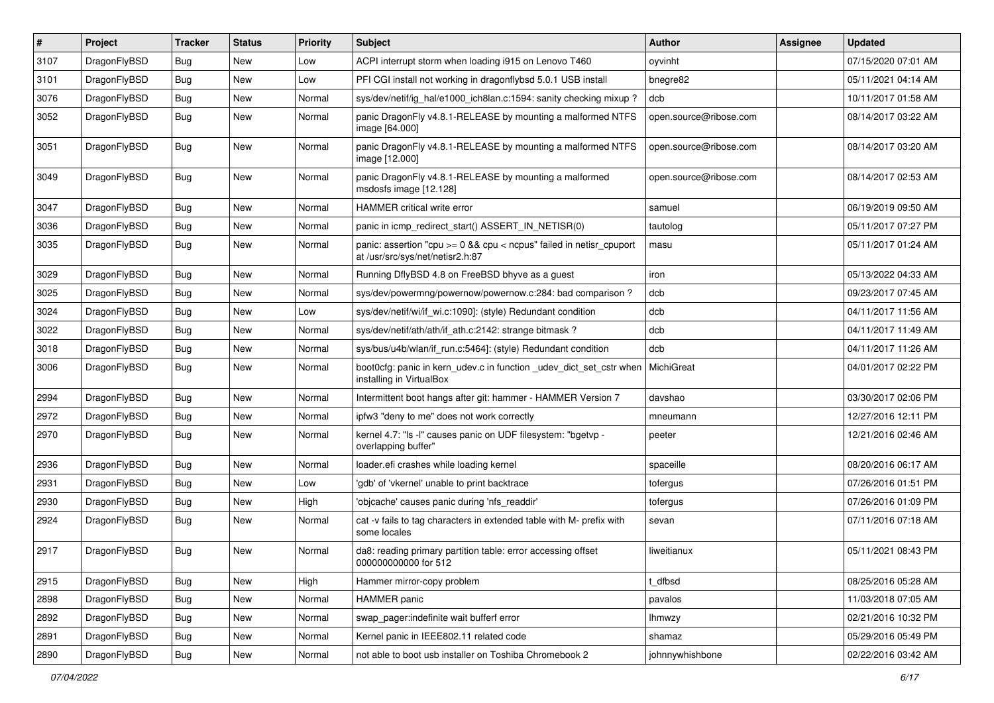| $\vert$ # | Project      | <b>Tracker</b> | <b>Status</b> | <b>Priority</b> | Subject                                                                                                   | Author                 | Assignee | <b>Updated</b>      |
|-----------|--------------|----------------|---------------|-----------------|-----------------------------------------------------------------------------------------------------------|------------------------|----------|---------------------|
| 3107      | DragonFlyBSD | <b>Bug</b>     | <b>New</b>    | Low             | ACPI interrupt storm when loading i915 on Lenovo T460                                                     | oyvinht                |          | 07/15/2020 07:01 AM |
| 3101      | DragonFlyBSD | <b>Bug</b>     | <b>New</b>    | Low             | PFI CGI install not working in dragonflybsd 5.0.1 USB install                                             | bnegre82               |          | 05/11/2021 04:14 AM |
| 3076      | DragonFlyBSD | Bug            | <b>New</b>    | Normal          | sys/dev/netif/ig_hal/e1000_ich8lan.c:1594: sanity checking mixup?                                         | dcb                    |          | 10/11/2017 01:58 AM |
| 3052      | DragonFlyBSD | Bug            | <b>New</b>    | Normal          | panic DragonFly v4.8.1-RELEASE by mounting a malformed NTFS<br>image [64.000]                             | open.source@ribose.com |          | 08/14/2017 03:22 AM |
| 3051      | DragonFlyBSD | <b>Bug</b>     | New           | Normal          | panic DragonFly v4.8.1-RELEASE by mounting a malformed NTFS<br>image [12.000]                             | open.source@ribose.com |          | 08/14/2017 03:20 AM |
| 3049      | DragonFlyBSD | Bug            | New           | Normal          | panic DragonFly v4.8.1-RELEASE by mounting a malformed<br>msdosfs image [12.128]                          | open.source@ribose.com |          | 08/14/2017 02:53 AM |
| 3047      | DragonFlyBSD | Bug            | <b>New</b>    | Normal          | HAMMER critical write error                                                                               | samuel                 |          | 06/19/2019 09:50 AM |
| 3036      | DragonFlyBSD | <b>Bug</b>     | <b>New</b>    | Normal          | panic in icmp redirect start() ASSERT IN NETISR(0)                                                        | tautolog               |          | 05/11/2017 07:27 PM |
| 3035      | DragonFlyBSD | Bug            | New           | Normal          | panic: assertion "cpu $>= 0$ && cpu < ncpus" failed in netisr cpuport<br>at /usr/src/sys/net/netisr2.h:87 | masu                   |          | 05/11/2017 01:24 AM |
| 3029      | DragonFlyBSD | Bug            | <b>New</b>    | Normal          | Running DflyBSD 4.8 on FreeBSD bhyve as a guest                                                           | iron                   |          | 05/13/2022 04:33 AM |
| 3025      | DragonFlyBSD | Bug            | <b>New</b>    | Normal          | sys/dev/powermng/powernow/powernow.c:284: bad comparison?                                                 | dcb                    |          | 09/23/2017 07:45 AM |
| 3024      | DragonFlyBSD | Bug            | <b>New</b>    | Low             | sys/dev/netif/wi/if_wi.c:1090]: (style) Redundant condition                                               | dcb                    |          | 04/11/2017 11:56 AM |
| 3022      | DragonFlyBSD | Bug            | <b>New</b>    | Normal          | sys/dev/netif/ath/ath/if_ath.c:2142: strange bitmask?                                                     | dcb                    |          | 04/11/2017 11:49 AM |
| 3018      | DragonFlyBSD | Bug            | <b>New</b>    | Normal          | sys/bus/u4b/wlan/if run.c:5464]: (style) Redundant condition                                              | dcb                    |          | 04/11/2017 11:26 AM |
| 3006      | DragonFlyBSD | <b>Bug</b>     | <b>New</b>    | Normal          | boot0cfg: panic in kern_udev.c in function _udev_dict_set_cstr when<br>installing in VirtualBox           | MichiGreat             |          | 04/01/2017 02:22 PM |
| 2994      | DragonFlyBSD | Bug            | <b>New</b>    | Normal          | Intermittent boot hangs after git: hammer - HAMMER Version 7                                              | davshao                |          | 03/30/2017 02:06 PM |
| 2972      | DragonFlyBSD | <b>Bug</b>     | New           | Normal          | ipfw3 "deny to me" does not work correctly                                                                | mneumann               |          | 12/27/2016 12:11 PM |
| 2970      | DragonFlyBSD | Bug            | <b>New</b>    | Normal          | kernel 4.7: "Is -I" causes panic on UDF filesystem: "bgetvp -<br>overlapping buffer"                      | peeter                 |          | 12/21/2016 02:46 AM |
| 2936      | DragonFlyBSD | <b>Bug</b>     | <b>New</b>    | Normal          | loader.efi crashes while loading kernel                                                                   | spaceille              |          | 08/20/2016 06:17 AM |
| 2931      | DragonFlyBSD | Bug            | <b>New</b>    | Low             | 'gdb' of 'vkernel' unable to print backtrace                                                              | tofergus               |          | 07/26/2016 01:51 PM |
| 2930      | DragonFlyBSD | <b>Bug</b>     | <b>New</b>    | High            | 'objcache' causes panic during 'nfs_readdir'                                                              | tofergus               |          | 07/26/2016 01:09 PM |
| 2924      | DragonFlyBSD | Bug            | <b>New</b>    | Normal          | cat -v fails to tag characters in extended table with M- prefix with<br>some locales                      | sevan                  |          | 07/11/2016 07:18 AM |
| 2917      | DragonFlyBSD | Bug            | <b>New</b>    | Normal          | da8: reading primary partition table: error accessing offset<br>000000000000 for 512                      | liweitianux            |          | 05/11/2021 08:43 PM |
| 2915      | DragonFlyBSD | Bug            | New           | High            | Hammer mirror-copy problem                                                                                | t_dfbsd                |          | 08/25/2016 05:28 AM |
| 2898      | DragonFlyBSD | <b>Bug</b>     | New           | Normal          | HAMMER panic                                                                                              | pavalos                |          | 11/03/2018 07:05 AM |
| 2892      | DragonFlyBSD | Bug            | New           | Normal          | swap_pager:indefinite wait bufferf error                                                                  | Ihmwzy                 |          | 02/21/2016 10:32 PM |
| 2891      | DragonFlyBSD | Bug            | New           | Normal          | Kernel panic in IEEE802.11 related code                                                                   | shamaz                 |          | 05/29/2016 05:49 PM |
| 2890      | DragonFlyBSD | <b>Bug</b>     | New           | Normal          | not able to boot usb installer on Toshiba Chromebook 2                                                    | johnnywhishbone        |          | 02/22/2016 03:42 AM |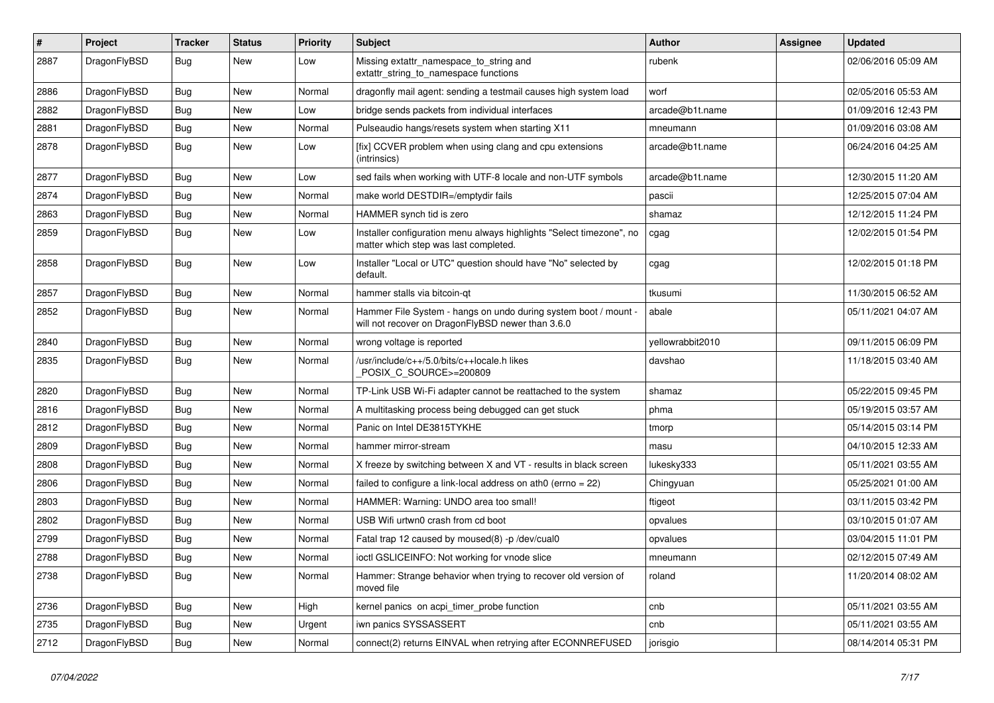| $\pmb{\#}$ | Project      | <b>Tracker</b> | <b>Status</b> | <b>Priority</b> | Subject                                                                                                              | Author           | Assignee | <b>Updated</b>      |
|------------|--------------|----------------|---------------|-----------------|----------------------------------------------------------------------------------------------------------------------|------------------|----------|---------------------|
| 2887       | DragonFlyBSD | Bug            | New           | Low             | Missing extattr_namespace_to_string and<br>extattr_string_to_namespace functions                                     | rubenk           |          | 02/06/2016 05:09 AM |
| 2886       | DragonFlyBSD | <b>Bug</b>     | <b>New</b>    | Normal          | dragonfly mail agent: sending a testmail causes high system load                                                     | worf             |          | 02/05/2016 05:53 AM |
| 2882       | DragonFlyBSD | Bug            | <b>New</b>    | Low             | bridge sends packets from individual interfaces                                                                      | arcade@b1t.name  |          | 01/09/2016 12:43 PM |
| 2881       | DragonFlyBSD | <b>Bug</b>     | New           | Normal          | Pulseaudio hangs/resets system when starting X11                                                                     | mneumann         |          | 01/09/2016 03:08 AM |
| 2878       | DragonFlyBSD | <b>Bug</b>     | New           | Low             | [fix] CCVER problem when using clang and cpu extensions<br>(intrinsics)                                              | arcade@b1t.name  |          | 06/24/2016 04:25 AM |
| 2877       | DragonFlyBSD | Bug            | New           | Low             | sed fails when working with UTF-8 locale and non-UTF symbols                                                         | arcade@b1t.name  |          | 12/30/2015 11:20 AM |
| 2874       | DragonFlyBSD | Bug            | New           | Normal          | make world DESTDIR=/emptydir fails                                                                                   | pascii           |          | 12/25/2015 07:04 AM |
| 2863       | DragonFlyBSD | Bug            | <b>New</b>    | Normal          | HAMMER synch tid is zero                                                                                             | shamaz           |          | 12/12/2015 11:24 PM |
| 2859       | DragonFlyBSD | <b>Bug</b>     | New           | Low             | Installer configuration menu always highlights "Select timezone", no<br>matter which step was last completed.        | cgag             |          | 12/02/2015 01:54 PM |
| 2858       | DragonFlyBSD | Bug            | New           | Low             | Installer "Local or UTC" question should have "No" selected by<br>default.                                           | cgag             |          | 12/02/2015 01:18 PM |
| 2857       | DragonFlyBSD | Bug            | New           | Normal          | hammer stalls via bitcoin-qt                                                                                         | tkusumi          |          | 11/30/2015 06:52 AM |
| 2852       | DragonFlyBSD | Bug            | New           | Normal          | Hammer File System - hangs on undo during system boot / mount -<br>will not recover on DragonFlyBSD newer than 3.6.0 | abale            |          | 05/11/2021 04:07 AM |
| 2840       | DragonFlyBSD | Bug            | <b>New</b>    | Normal          | wrong voltage is reported                                                                                            | yellowrabbit2010 |          | 09/11/2015 06:09 PM |
| 2835       | DragonFlyBSD | <b>Bug</b>     | New           | Normal          | /usr/include/c++/5.0/bits/c++locale.h likes<br>POSIX C_SOURCE>=200809                                                | davshao          |          | 11/18/2015 03:40 AM |
| 2820       | DragonFlyBSD | <b>Bug</b>     | <b>New</b>    | Normal          | TP-Link USB Wi-Fi adapter cannot be reattached to the system                                                         | shamaz           |          | 05/22/2015 09:45 PM |
| 2816       | DragonFlyBSD | Bug            | New           | Normal          | A multitasking process being debugged can get stuck                                                                  | phma             |          | 05/19/2015 03:57 AM |
| 2812       | DragonFlyBSD | Bug            | <b>New</b>    | Normal          | Panic on Intel DE3815TYKHE                                                                                           | tmorp            |          | 05/14/2015 03:14 PM |
| 2809       | DragonFlyBSD | <b>Bug</b>     | New           | Normal          | hammer mirror-stream                                                                                                 | masu             |          | 04/10/2015 12:33 AM |
| 2808       | DragonFlyBSD | Bug            | New           | Normal          | X freeze by switching between X and VT - results in black screen                                                     | lukesky333       |          | 05/11/2021 03:55 AM |
| 2806       | DragonFlyBSD | Bug            | <b>New</b>    | Normal          | failed to configure a link-local address on ath0 (errno = 22)                                                        | Chingyuan        |          | 05/25/2021 01:00 AM |
| 2803       | DragonFlyBSD | <b>Bug</b>     | <b>New</b>    | Normal          | HAMMER: Warning: UNDO area too small!                                                                                | ftigeot          |          | 03/11/2015 03:42 PM |
| 2802       | DragonFlyBSD | Bug            | New           | Normal          | USB Wifi urtwn0 crash from cd boot                                                                                   | opvalues         |          | 03/10/2015 01:07 AM |
| 2799       | DragonFlyBSD | <b>Bug</b>     | New           | Normal          | Fatal trap 12 caused by moused(8) -p /dev/cual0                                                                      | opvalues         |          | 03/04/2015 11:01 PM |
| 2788       | DragonFlyBSD | Bug            | New           | Normal          | ioctl GSLICEINFO: Not working for vnode slice                                                                        | mneumann         |          | 02/12/2015 07:49 AM |
| 2738       | DragonFlyBSD | Bug            | New           | Normal          | Hammer: Strange behavior when trying to recover old version of<br>moved file                                         | roland           |          | 11/20/2014 08:02 AM |
| 2736       | DragonFlyBSD | <b>Bug</b>     | New           | High            | kernel panics on acpi_timer_probe function                                                                           | cnb              |          | 05/11/2021 03:55 AM |
| 2735       | DragonFlyBSD | Bug            | New           | Urgent          | iwn panics SYSSASSERT                                                                                                | cnb              |          | 05/11/2021 03:55 AM |
| 2712       | DragonFlyBSD | <b>Bug</b>     | New           | Normal          | connect(2) returns EINVAL when retrying after ECONNREFUSED                                                           | jorisgio         |          | 08/14/2014 05:31 PM |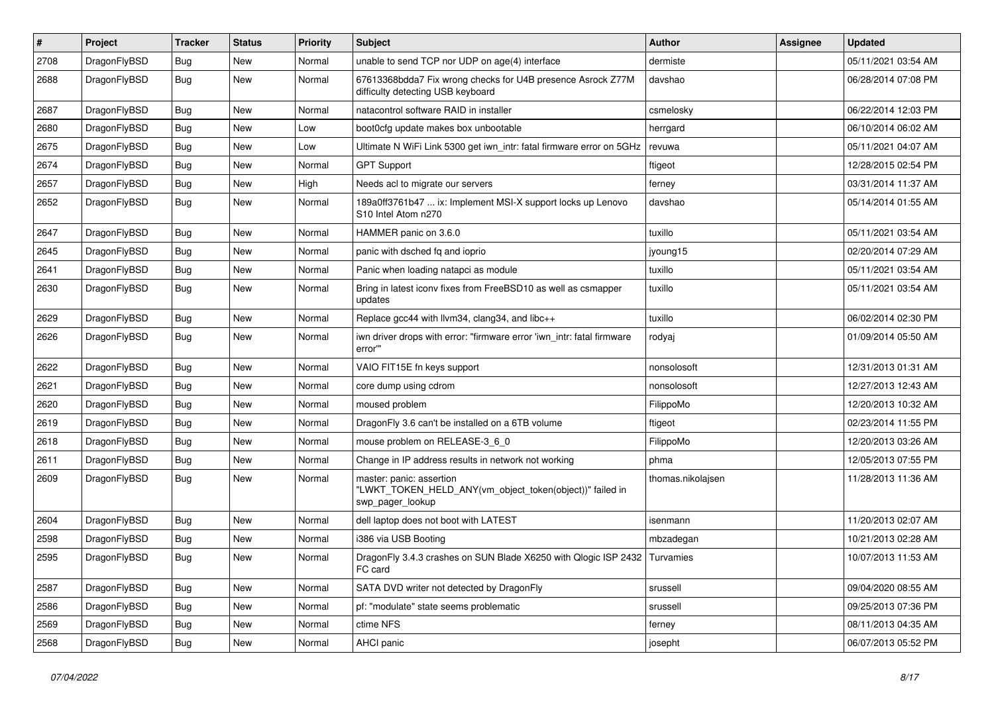| $\sharp$ | Project      | <b>Tracker</b> | <b>Status</b> | <b>Priority</b> | Subject                                                                                                  | <b>Author</b>     | Assignee | <b>Updated</b>      |
|----------|--------------|----------------|---------------|-----------------|----------------------------------------------------------------------------------------------------------|-------------------|----------|---------------------|
| 2708     | DragonFlyBSD | <b>Bug</b>     | New           | Normal          | unable to send TCP nor UDP on age(4) interface                                                           | dermiste          |          | 05/11/2021 03:54 AM |
| 2688     | DragonFlyBSD | Bug            | New           | Normal          | 67613368bdda7 Fix wrong checks for U4B presence Asrock Z77M<br>difficulty detecting USB keyboard         | davshao           |          | 06/28/2014 07:08 PM |
| 2687     | DragonFlyBSD | Bug            | New           | Normal          | natacontrol software RAID in installer                                                                   | csmelosky         |          | 06/22/2014 12:03 PM |
| 2680     | DragonFlyBSD | Bug            | <b>New</b>    | Low             | boot0cfg update makes box unbootable                                                                     | herrgard          |          | 06/10/2014 06:02 AM |
| 2675     | DragonFlyBSD | <b>Bug</b>     | New           | Low             | Ultimate N WiFi Link 5300 get iwn_intr: fatal firmware error on 5GHz                                     | revuwa            |          | 05/11/2021 04:07 AM |
| 2674     | DragonFlyBSD | Bug            | New           | Normal          | <b>GPT Support</b>                                                                                       | ftigeot           |          | 12/28/2015 02:54 PM |
| 2657     | DragonFlyBSD | <b>Bug</b>     | New           | High            | Needs acl to migrate our servers                                                                         | ferney            |          | 03/31/2014 11:37 AM |
| 2652     | DragonFlyBSD | <b>Bug</b>     | New           | Normal          | 189a0ff3761b47  ix: Implement MSI-X support locks up Lenovo<br>S10 Intel Atom n270                       | davshao           |          | 05/14/2014 01:55 AM |
| 2647     | DragonFlyBSD | Bug            | <b>New</b>    | Normal          | HAMMER panic on 3.6.0                                                                                    | tuxillo           |          | 05/11/2021 03:54 AM |
| 2645     | DragonFlyBSD | <b>Bug</b>     | <b>New</b>    | Normal          | panic with dsched fq and ioprio                                                                          | jyoung15          |          | 02/20/2014 07:29 AM |
| 2641     | DragonFlyBSD | Bug            | New           | Normal          | Panic when loading natapci as module                                                                     | tuxillo           |          | 05/11/2021 03:54 AM |
| 2630     | DragonFlyBSD | <b>Bug</b>     | New           | Normal          | Bring in latest iconv fixes from FreeBSD10 as well as csmapper<br>updates                                | tuxillo           |          | 05/11/2021 03:54 AM |
| 2629     | DragonFlyBSD | Bug            | <b>New</b>    | Normal          | Replace gcc44 with llvm34, clang34, and libc++                                                           | tuxillo           |          | 06/02/2014 02:30 PM |
| 2626     | DragonFlyBSD | <b>Bug</b>     | New           | Normal          | iwn driver drops with error: "firmware error 'iwn intr: fatal firmware<br>error"                         | rodyaj            |          | 01/09/2014 05:50 AM |
| 2622     | DragonFlyBSD | <b>Bug</b>     | <b>New</b>    | Normal          | VAIO FIT15E fn keys support                                                                              | nonsolosoft       |          | 12/31/2013 01:31 AM |
| 2621     | DragonFlyBSD | <b>Bug</b>     | New           | Normal          | core dump using cdrom                                                                                    | nonsolosoft       |          | 12/27/2013 12:43 AM |
| 2620     | DragonFlyBSD | Bug            | <b>New</b>    | Normal          | moused problem                                                                                           | FilippoMo         |          | 12/20/2013 10:32 AM |
| 2619     | DragonFlyBSD | <b>Bug</b>     | New           | Normal          | DragonFly 3.6 can't be installed on a 6TB volume                                                         | ftigeot           |          | 02/23/2014 11:55 PM |
| 2618     | DragonFlyBSD | Bug            | New           | Normal          | mouse problem on RELEASE-3_6_0                                                                           | FilippoMo         |          | 12/20/2013 03:26 AM |
| 2611     | DragonFlyBSD | <b>Bug</b>     | <b>New</b>    | Normal          | Change in IP address results in network not working                                                      | phma              |          | 12/05/2013 07:55 PM |
| 2609     | DragonFlyBSD | <b>Bug</b>     | New           | Normal          | master: panic: assertion<br>"LWKT_TOKEN_HELD_ANY(vm_object_token(object))" failed in<br>swp_pager_lookup | thomas.nikolajsen |          | 11/28/2013 11:36 AM |
| 2604     | DragonFlyBSD | Bug            | New           | Normal          | dell laptop does not boot with LATEST                                                                    | isenmann          |          | 11/20/2013 02:07 AM |
| 2598     | DragonFlyBSD | Bug            | <b>New</b>    | Normal          | i386 via USB Booting                                                                                     | mbzadegan         |          | 10/21/2013 02:28 AM |
| 2595     | DragonFlyBSD | Bug            | <b>New</b>    | Normal          | DragonFly 3.4.3 crashes on SUN Blade X6250 with Qlogic ISP 2432 Turvamies<br>FC card                     |                   |          | 10/07/2013 11:53 AM |
| 2587     | DragonFlyBSD | <b>Bug</b>     | New           | Normal          | SATA DVD writer not detected by DragonFly                                                                | srussell          |          | 09/04/2020 08:55 AM |
| 2586     | DragonFlyBSD | Bug            | New           | Normal          | pf: "modulate" state seems problematic                                                                   | srussell          |          | 09/25/2013 07:36 PM |
| 2569     | DragonFlyBSD | <b>Bug</b>     | <b>New</b>    | Normal          | ctime NFS                                                                                                | ferney            |          | 08/11/2013 04:35 AM |
| 2568     | DragonFlyBSD | <b>Bug</b>     | New           | Normal          | AHCI panic                                                                                               | josepht           |          | 06/07/2013 05:52 PM |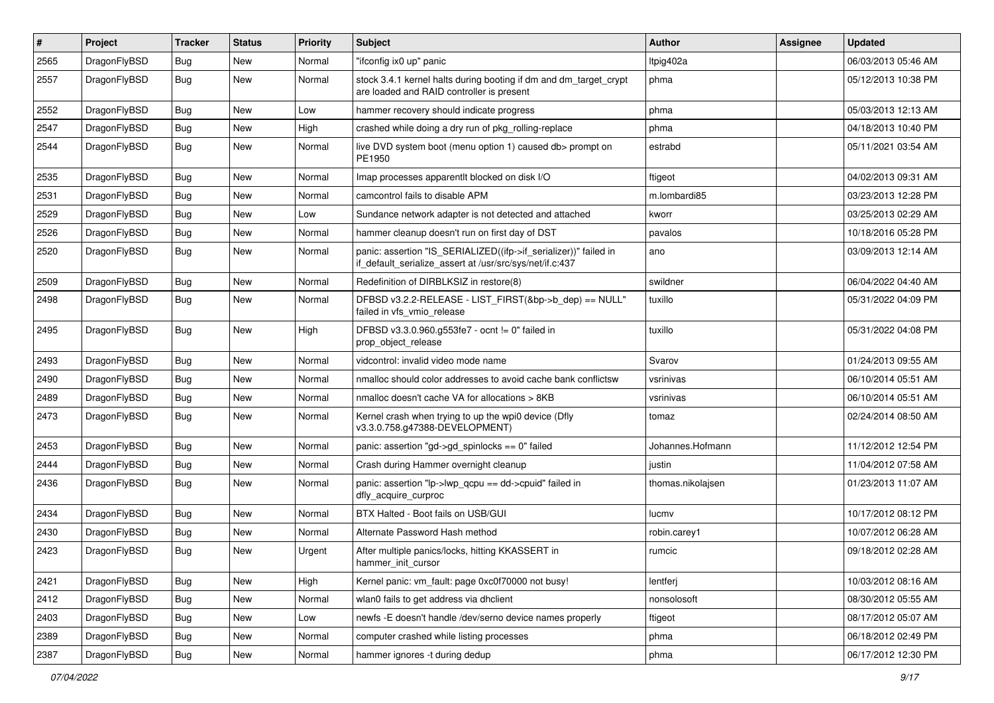| $\vert$ # | Project      | <b>Tracker</b> | <b>Status</b> | <b>Priority</b> | Subject                                                                                                                      | <b>Author</b>     | Assignee | <b>Updated</b>      |
|-----------|--------------|----------------|---------------|-----------------|------------------------------------------------------------------------------------------------------------------------------|-------------------|----------|---------------------|
| 2565      | DragonFlyBSD | Bug            | New           | Normal          | "ifconfig ix0 up" panic                                                                                                      | Itpig402a         |          | 06/03/2013 05:46 AM |
| 2557      | DragonFlyBSD | Bug            | New           | Normal          | stock 3.4.1 kernel halts during booting if dm and dm_target_crypt<br>are loaded and RAID controller is present               | phma              |          | 05/12/2013 10:38 PM |
| 2552      | DragonFlyBSD | Bug            | New           | Low             | hammer recovery should indicate progress                                                                                     | phma              |          | 05/03/2013 12:13 AM |
| 2547      | DragonFlyBSD | Bug            | <b>New</b>    | High            | crashed while doing a dry run of pkg_rolling-replace                                                                         | phma              |          | 04/18/2013 10:40 PM |
| 2544      | DragonFlyBSD | Bug            | New           | Normal          | live DVD system boot (menu option 1) caused db> prompt on<br>PE1950                                                          | estrabd           |          | 05/11/2021 03:54 AM |
| 2535      | DragonFlyBSD | Bug            | <b>New</b>    | Normal          | Imap processes apparentlt blocked on disk I/O                                                                                | ftigeot           |          | 04/02/2013 09:31 AM |
| 2531      | DragonFlyBSD | Bug            | <b>New</b>    | Normal          | camcontrol fails to disable APM                                                                                              | m.lombardi85      |          | 03/23/2013 12:28 PM |
| 2529      | DragonFlyBSD | Bug            | New           | Low             | Sundance network adapter is not detected and attached                                                                        | kworr             |          | 03/25/2013 02:29 AM |
| 2526      | DragonFlyBSD | Bug            | <b>New</b>    | Normal          | hammer cleanup doesn't run on first day of DST                                                                               | pavalos           |          | 10/18/2016 05:28 PM |
| 2520      | DragonFlyBSD | Bug            | <b>New</b>    | Normal          | panic: assertion "IS_SERIALIZED((ifp->if_serializer))" failed in<br>if default serialize assert at /usr/src/sys/net/if.c:437 | ano               |          | 03/09/2013 12:14 AM |
| 2509      | DragonFlyBSD | Bug            | New           | Normal          | Redefinition of DIRBLKSIZ in restore(8)                                                                                      | swildner          |          | 06/04/2022 04:40 AM |
| 2498      | DragonFlyBSD | Bug            | New           | Normal          | DFBSD v3.2.2-RELEASE - LIST_FIRST(&bp->b_dep) == NULL"<br>failed in vfs vmio release                                         | tuxillo           |          | 05/31/2022 04:09 PM |
| 2495      | DragonFlyBSD | Bug            | <b>New</b>    | High            | DFBSD v3.3.0.960.g553fe7 - ocnt != 0" failed in<br>prop_object_release                                                       | tuxillo           |          | 05/31/2022 04:08 PM |
| 2493      | DragonFlyBSD | Bug            | <b>New</b>    | Normal          | vidcontrol: invalid video mode name                                                                                          | Svarov            |          | 01/24/2013 09:55 AM |
| 2490      | DragonFlyBSD | Bug            | New           | Normal          | nmalloc should color addresses to avoid cache bank conflictsw                                                                | vsrinivas         |          | 06/10/2014 05:51 AM |
| 2489      | DragonFlyBSD | Bug            | New           | Normal          | nmalloc doesn't cache VA for allocations > 8KB                                                                               | vsrinivas         |          | 06/10/2014 05:51 AM |
| 2473      | DragonFlyBSD | Bug            | New           | Normal          | Kernel crash when trying to up the wpi0 device (Dfly<br>v3.3.0.758.g47388-DEVELOPMENT)                                       | tomaz             |          | 02/24/2014 08:50 AM |
| 2453      | DragonFlyBSD | Bug            | <b>New</b>    | Normal          | panic: assertion "gd->gd_spinlocks == $0$ " failed                                                                           | Johannes.Hofmann  |          | 11/12/2012 12:54 PM |
| 2444      | DragonFlyBSD | Bug            | <b>New</b>    | Normal          | Crash during Hammer overnight cleanup                                                                                        | justin            |          | 11/04/2012 07:58 AM |
| 2436      | DragonFlyBSD | Bug            | New           | Normal          | panic: assertion "lp->lwp_qcpu == dd->cpuid" failed in<br>dfly_acquire_curproc                                               | thomas.nikolajsen |          | 01/23/2013 11:07 AM |
| 2434      | DragonFlyBSD | Bug            | <b>New</b>    | Normal          | BTX Halted - Boot fails on USB/GUI                                                                                           | lucmv             |          | 10/17/2012 08:12 PM |
| 2430      | DragonFlyBSD | Bug            | <b>New</b>    | Normal          | Alternate Password Hash method                                                                                               | robin.carey1      |          | 10/07/2012 06:28 AM |
| 2423      | DragonFlyBSD | Bug            | New           | Urgent          | After multiple panics/locks, hitting KKASSERT in<br>hammer_init_cursor                                                       | rumcic            |          | 09/18/2012 02:28 AM |
| 2421      | DragonFlyBSD | <b>Bug</b>     | <b>New</b>    | High            | Kernel panic: vm_fault: page 0xc0f70000 not busy!                                                                            | lentferj          |          | 10/03/2012 08:16 AM |
| 2412      | DragonFlyBSD | <b>Bug</b>     | New           | Normal          | wlan0 fails to get address via dhclient                                                                                      | nonsolosoft       |          | 08/30/2012 05:55 AM |
| 2403      | DragonFlyBSD | Bug            | New           | Low             | newfs -E doesn't handle /dev/serno device names properly                                                                     | ftigeot           |          | 08/17/2012 05:07 AM |
| 2389      | DragonFlyBSD | Bug            | New           | Normal          | computer crashed while listing processes                                                                                     | phma              |          | 06/18/2012 02:49 PM |
| 2387      | DragonFlyBSD | <b>Bug</b>     | New           | Normal          | hammer ignores -t during dedup                                                                                               | phma              |          | 06/17/2012 12:30 PM |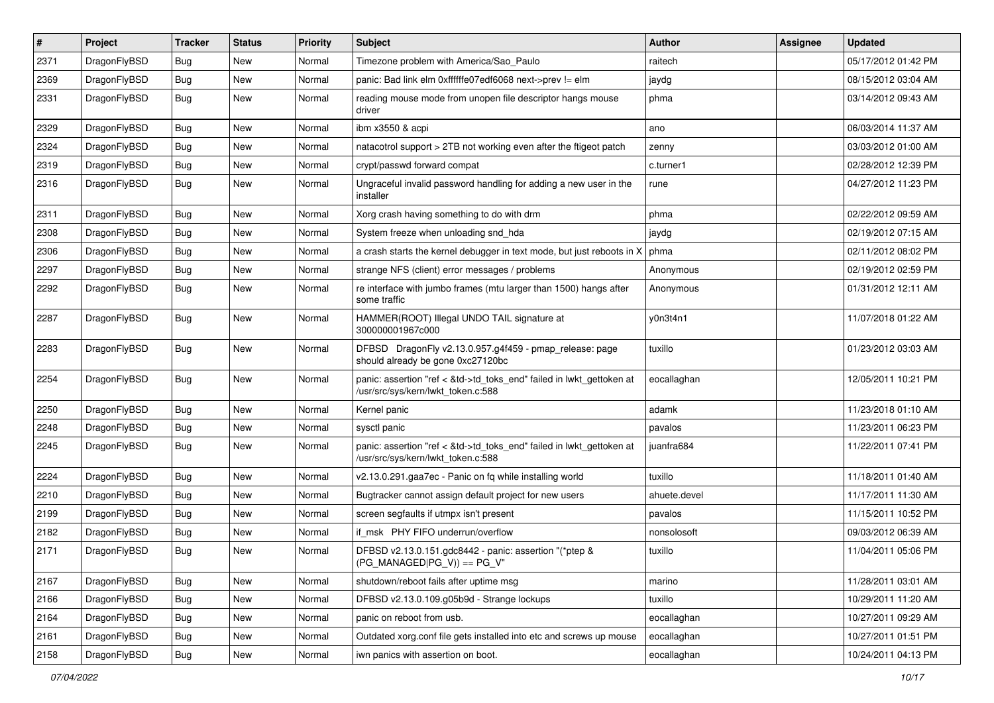| $\pmb{\#}$ | Project      | <b>Tracker</b> | <b>Status</b> | <b>Priority</b> | Subject                                                                                                    | <b>Author</b> | Assignee | <b>Updated</b>      |
|------------|--------------|----------------|---------------|-----------------|------------------------------------------------------------------------------------------------------------|---------------|----------|---------------------|
| 2371       | DragonFlyBSD | Bug            | New           | Normal          | Timezone problem with America/Sao_Paulo                                                                    | raitech       |          | 05/17/2012 01:42 PM |
| 2369       | DragonFlyBSD | <b>Bug</b>     | New           | Normal          | panic: Bad link elm 0xffffffe07edf6068 next->prev != elm                                                   | jaydg         |          | 08/15/2012 03:04 AM |
| 2331       | DragonFlyBSD | Bug            | New           | Normal          | reading mouse mode from unopen file descriptor hangs mouse<br>driver                                       | phma          |          | 03/14/2012 09:43 AM |
| 2329       | DragonFlyBSD | Bug            | <b>New</b>    | Normal          | ibm x3550 & acpi                                                                                           | ano           |          | 06/03/2014 11:37 AM |
| 2324       | DragonFlyBSD | Bug            | New           | Normal          | natacotrol support > 2TB not working even after the ftigeot patch                                          | zenny         |          | 03/03/2012 01:00 AM |
| 2319       | DragonFlyBSD | <b>Bug</b>     | New           | Normal          | crypt/passwd forward compat                                                                                | c.turner1     |          | 02/28/2012 12:39 PM |
| 2316       | DragonFlyBSD | Bug            | New           | Normal          | Ungraceful invalid password handling for adding a new user in the<br>installer                             | rune          |          | 04/27/2012 11:23 PM |
| 2311       | DragonFlyBSD | Bug            | New           | Normal          | Xorg crash having something to do with drm                                                                 | phma          |          | 02/22/2012 09:59 AM |
| 2308       | DragonFlyBSD | Bug            | <b>New</b>    | Normal          | System freeze when unloading snd_hda                                                                       | jaydg         |          | 02/19/2012 07:15 AM |
| 2306       | DragonFlyBSD | Bug            | <b>New</b>    | Normal          | a crash starts the kernel debugger in text mode, but just reboots in $X \mid p$ hma                        |               |          | 02/11/2012 08:02 PM |
| 2297       | DragonFlyBSD | <b>Bug</b>     | <b>New</b>    | Normal          | strange NFS (client) error messages / problems                                                             | Anonymous     |          | 02/19/2012 02:59 PM |
| 2292       | DragonFlyBSD | Bug            | New           | Normal          | re interface with jumbo frames (mtu larger than 1500) hangs after<br>some traffic                          | Anonymous     |          | 01/31/2012 12:11 AM |
| 2287       | DragonFlyBSD | Bug            | New           | Normal          | HAMMER(ROOT) Illegal UNDO TAIL signature at<br>300000001967c000                                            | y0n3t4n1      |          | 11/07/2018 01:22 AM |
| 2283       | DragonFlyBSD | Bug            | New           | Normal          | DFBSD DragonFly v2.13.0.957.g4f459 - pmap_release: page<br>should already be gone 0xc27120bc               | tuxillo       |          | 01/23/2012 03:03 AM |
| 2254       | DragonFlyBSD | Bug            | <b>New</b>    | Normal          | panic: assertion "ref < &td->td_toks_end" failed in lwkt_gettoken at<br>/usr/src/sys/kern/lwkt_token.c:588 | eocallaghan   |          | 12/05/2011 10:21 PM |
| 2250       | DragonFlyBSD | <b>Bug</b>     | <b>New</b>    | Normal          | Kernel panic                                                                                               | adamk         |          | 11/23/2018 01:10 AM |
| 2248       | DragonFlyBSD | Bug            | New           | Normal          | sysctl panic                                                                                               | pavalos       |          | 11/23/2011 06:23 PM |
| 2245       | DragonFlyBSD | Bug            | New           | Normal          | panic: assertion "ref < &td->td_toks_end" failed in lwkt_gettoken at<br>/usr/src/sys/kern/lwkt_token.c:588 | juanfra684    |          | 11/22/2011 07:41 PM |
| 2224       | DragonFlyBSD | Bug            | <b>New</b>    | Normal          | v2.13.0.291.gaa7ec - Panic on fq while installing world                                                    | tuxillo       |          | 11/18/2011 01:40 AM |
| 2210       | DragonFlyBSD | Bug            | New           | Normal          | Bugtracker cannot assign default project for new users                                                     | ahuete.devel  |          | 11/17/2011 11:30 AM |
| 2199       | DragonFlyBSD | Bug            | <b>New</b>    | Normal          | screen segfaults if utmpx isn't present                                                                    | pavalos       |          | 11/15/2011 10:52 PM |
| 2182       | DragonFlyBSD | Bug            | New           | Normal          | if_msk PHY FIFO underrun/overflow                                                                          | nonsolosoft   |          | 09/03/2012 06:39 AM |
| 2171       | DragonFlyBSD | <b>Bug</b>     | New           | Normal          | DFBSD v2.13.0.151.gdc8442 - panic: assertion "(*ptep &<br>$(PG_MANAGED PG_V)) == PG_V"$                    | tuxillo       |          | 11/04/2011 05:06 PM |
| 2167       | DragonFlyBSD | Bug            | New           | Normal          | shutdown/reboot fails after uptime msg                                                                     | marino        |          | 11/28/2011 03:01 AM |
| 2166       | DragonFlyBSD | <b>Bug</b>     | New           | Normal          | DFBSD v2.13.0.109.g05b9d - Strange lockups                                                                 | tuxillo       |          | 10/29/2011 11:20 AM |
| 2164       | DragonFlyBSD | Bug            | New           | Normal          | panic on reboot from usb.                                                                                  | eocallaghan   |          | 10/27/2011 09:29 AM |
| 2161       | DragonFlyBSD | Bug            | New           | Normal          | Outdated xorg.conf file gets installed into etc and screws up mouse                                        | eocallaghan   |          | 10/27/2011 01:51 PM |
| 2158       | DragonFlyBSD | <b>Bug</b>     | New           | Normal          | iwn panics with assertion on boot.                                                                         | eocallaghan   |          | 10/24/2011 04:13 PM |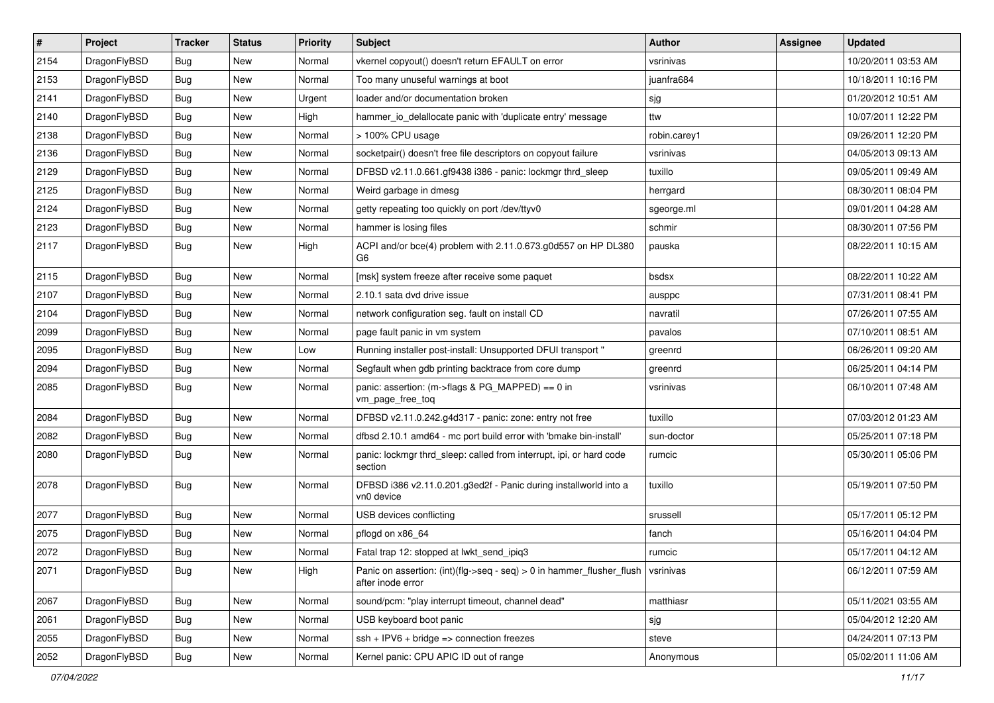| $\pmb{\#}$ | Project      | <b>Tracker</b> | <b>Status</b> | <b>Priority</b> | <b>Subject</b>                                                                                              | <b>Author</b> | <b>Assignee</b> | <b>Updated</b>      |
|------------|--------------|----------------|---------------|-----------------|-------------------------------------------------------------------------------------------------------------|---------------|-----------------|---------------------|
| 2154       | DragonFlyBSD | Bug            | <b>New</b>    | Normal          | vkernel copyout() doesn't return EFAULT on error                                                            | vsrinivas     |                 | 10/20/2011 03:53 AM |
| 2153       | DragonFlyBSD | Bug            | <b>New</b>    | Normal          | Too many unuseful warnings at boot                                                                          | juanfra684    |                 | 10/18/2011 10:16 PM |
| 2141       | DragonFlyBSD | Bug            | New           | Urgent          | loader and/or documentation broken                                                                          | sjg           |                 | 01/20/2012 10:51 AM |
| 2140       | DragonFlyBSD | Bug            | <b>New</b>    | High            | hammer_io_delallocate panic with 'duplicate entry' message                                                  | ttw           |                 | 10/07/2011 12:22 PM |
| 2138       | DragonFlyBSD | Bug            | <b>New</b>    | Normal          | > 100% CPU usage                                                                                            | robin.carey1  |                 | 09/26/2011 12:20 PM |
| 2136       | DragonFlyBSD | Bug            | New           | Normal          | socketpair() doesn't free file descriptors on copyout failure                                               | vsrinivas     |                 | 04/05/2013 09:13 AM |
| 2129       | DragonFlyBSD | Bug            | <b>New</b>    | Normal          | DFBSD v2.11.0.661.gf9438 i386 - panic: lockmgr thrd sleep                                                   | tuxillo       |                 | 09/05/2011 09:49 AM |
| 2125       | DragonFlyBSD | Bug            | New           | Normal          | Weird garbage in dmesg                                                                                      | herrgard      |                 | 08/30/2011 08:04 PM |
| 2124       | DragonFlyBSD | Bug            | <b>New</b>    | Normal          | getty repeating too quickly on port /dev/ttyv0                                                              | sgeorge.ml    |                 | 09/01/2011 04:28 AM |
| 2123       | DragonFlyBSD | Bug            | <b>New</b>    | Normal          | hammer is losing files                                                                                      | schmir        |                 | 08/30/2011 07:56 PM |
| 2117       | DragonFlyBSD | Bug            | <b>New</b>    | High            | ACPI and/or bce(4) problem with 2.11.0.673.g0d557 on HP DL380<br>G6                                         | pauska        |                 | 08/22/2011 10:15 AM |
| 2115       | DragonFlyBSD | Bug            | <b>New</b>    | Normal          | [msk] system freeze after receive some paquet                                                               | bsdsx         |                 | 08/22/2011 10:22 AM |
| 2107       | DragonFlyBSD | Bug            | New           | Normal          | 2.10.1 sata dvd drive issue                                                                                 | ausppc        |                 | 07/31/2011 08:41 PM |
| 2104       | DragonFlyBSD | Bug            | <b>New</b>    | Normal          | network configuration seg. fault on install CD                                                              | navratil      |                 | 07/26/2011 07:55 AM |
| 2099       | DragonFlyBSD | Bug            | New           | Normal          | page fault panic in vm system                                                                               | pavalos       |                 | 07/10/2011 08:51 AM |
| 2095       | DragonFlyBSD | Bug            | New           | Low             | Running installer post-install: Unsupported DFUI transport "                                                | greenrd       |                 | 06/26/2011 09:20 AM |
| 2094       | DragonFlyBSD | Bug            | <b>New</b>    | Normal          | Segfault when gdb printing backtrace from core dump                                                         | greenrd       |                 | 06/25/2011 04:14 PM |
| 2085       | DragonFlyBSD | Bug            | New           | Normal          | panic: assertion: (m->flags & PG_MAPPED) == 0 in<br>vm_page_free_toq                                        | vsrinivas     |                 | 06/10/2011 07:48 AM |
| 2084       | DragonFlyBSD | Bug            | <b>New</b>    | Normal          | DFBSD v2.11.0.242.g4d317 - panic: zone: entry not free                                                      | tuxillo       |                 | 07/03/2012 01:23 AM |
| 2082       | DragonFlyBSD | Bug            | New           | Normal          | dfbsd 2.10.1 amd64 - mc port build error with 'bmake bin-install'                                           | sun-doctor    |                 | 05/25/2011 07:18 PM |
| 2080       | DragonFlyBSD | Bug            | <b>New</b>    | Normal          | panic: lockmgr thrd_sleep: called from interrupt, ipi, or hard code<br>section                              | rumcic        |                 | 05/30/2011 05:06 PM |
| 2078       | DragonFlyBSD | Bug            | New           | Normal          | DFBSD i386 v2.11.0.201.g3ed2f - Panic during installworld into a<br>vn0 device                              | tuxillo       |                 | 05/19/2011 07:50 PM |
| 2077       | DragonFlyBSD | Bug            | <b>New</b>    | Normal          | USB devices conflicting                                                                                     | srussell      |                 | 05/17/2011 05:12 PM |
| 2075       | DragonFlyBSD | Bug            | New           | Normal          | pflogd on x86 64                                                                                            | fanch         |                 | 05/16/2011 04:04 PM |
| 2072       | DragonFlyBSD | Bug            | <b>New</b>    | Normal          | Fatal trap 12: stopped at lwkt_send_ipiq3                                                                   | rumcic        |                 | 05/17/2011 04:12 AM |
| 2071       | DragonFlyBSD | <b>Bug</b>     | New           | High            | Panic on assertion: $(int)(flag->seq - seq) > 0$ in hammer_flusher_flush $ $ vsrinivas<br>after inode error |               |                 | 06/12/2011 07:59 AM |
| 2067       | DragonFlyBSD | <b>Bug</b>     | New           | Normal          | sound/pcm: "play interrupt timeout, channel dead"                                                           | matthiasr     |                 | 05/11/2021 03:55 AM |
| 2061       | DragonFlyBSD | <b>Bug</b>     | New           | Normal          | USB keyboard boot panic                                                                                     | sjg           |                 | 05/04/2012 12:20 AM |
| 2055       | DragonFlyBSD | Bug            | New           | Normal          | $ssh + IPV6 + bridge \Rightarrow connection freezes$                                                        | steve         |                 | 04/24/2011 07:13 PM |
| 2052       | DragonFlyBSD | Bug            | New           | Normal          | Kernel panic: CPU APIC ID out of range                                                                      | Anonymous     |                 | 05/02/2011 11:06 AM |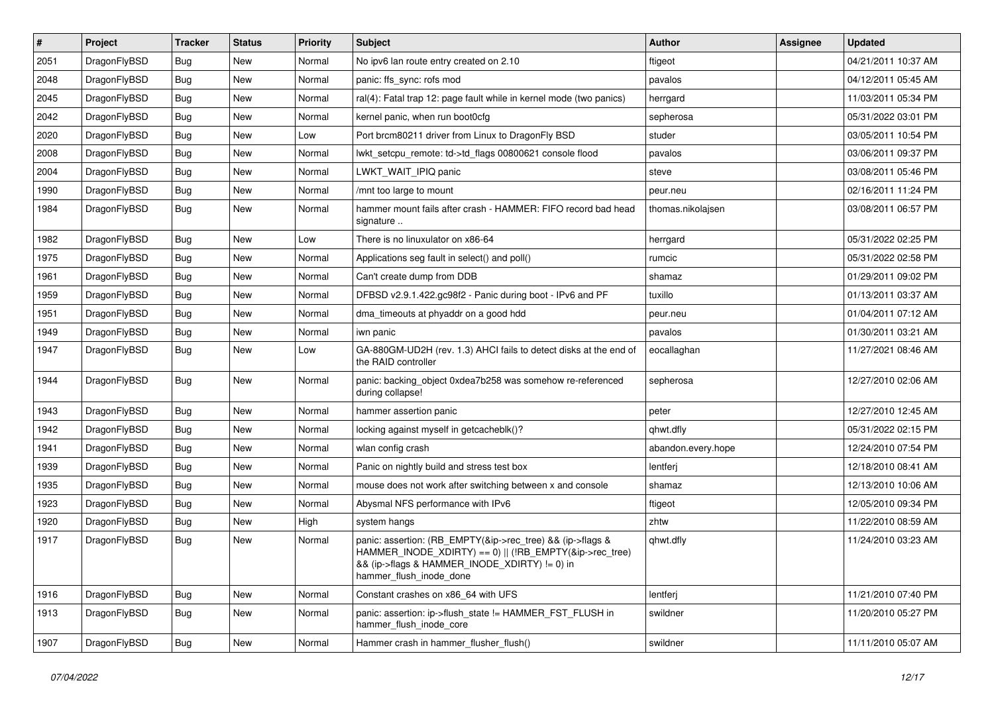| $\vert$ # | Project      | <b>Tracker</b> | <b>Status</b> | <b>Priority</b> | <b>Subject</b>                                                                                                                                                                                    | <b>Author</b>      | Assignee | <b>Updated</b>      |
|-----------|--------------|----------------|---------------|-----------------|---------------------------------------------------------------------------------------------------------------------------------------------------------------------------------------------------|--------------------|----------|---------------------|
| 2051      | DragonFlyBSD | <b>Bug</b>     | <b>New</b>    | Normal          | No ipv6 lan route entry created on 2.10                                                                                                                                                           | ftigeot            |          | 04/21/2011 10:37 AM |
| 2048      | DragonFlyBSD | Bug            | <b>New</b>    | Normal          | panic: ffs sync: rofs mod                                                                                                                                                                         | pavalos            |          | 04/12/2011 05:45 AM |
| 2045      | DragonFlyBSD | <b>Bug</b>     | <b>New</b>    | Normal          | ral(4): Fatal trap 12: page fault while in kernel mode (two panics)                                                                                                                               | herrgard           |          | 11/03/2011 05:34 PM |
| 2042      | DragonFlyBSD | Bug            | <b>New</b>    | Normal          | kernel panic, when run boot0cfg                                                                                                                                                                   | sepherosa          |          | 05/31/2022 03:01 PM |
| 2020      | DragonFlyBSD | <b>Bug</b>     | <b>New</b>    | Low             | Port brcm80211 driver from Linux to DragonFly BSD                                                                                                                                                 | studer             |          | 03/05/2011 10:54 PM |
| 2008      | DragonFlyBSD | <b>Bug</b>     | New           | Normal          | lwkt_setcpu_remote: td->td_flags 00800621 console flood                                                                                                                                           | pavalos            |          | 03/06/2011 09:37 PM |
| 2004      | DragonFlyBSD | Bug            | <b>New</b>    | Normal          | LWKT_WAIT_IPIQ panic                                                                                                                                                                              | steve              |          | 03/08/2011 05:46 PM |
| 1990      | DragonFlyBSD | <b>Bug</b>     | <b>New</b>    | Normal          | /mnt too large to mount                                                                                                                                                                           | peur.neu           |          | 02/16/2011 11:24 PM |
| 1984      | DragonFlyBSD | Bug            | New           | Normal          | hammer mount fails after crash - HAMMER: FIFO record bad head<br>signature                                                                                                                        | thomas.nikolajsen  |          | 03/08/2011 06:57 PM |
| 1982      | DragonFlyBSD | <b>Bug</b>     | <b>New</b>    | Low             | There is no linuxulator on x86-64                                                                                                                                                                 | herrgard           |          | 05/31/2022 02:25 PM |
| 1975      | DragonFlyBSD | Bug            | <b>New</b>    | Normal          | Applications seg fault in select() and poll()                                                                                                                                                     | rumcic             |          | 05/31/2022 02:58 PM |
| 1961      | DragonFlyBSD | <b>Bug</b>     | <b>New</b>    | Normal          | Can't create dump from DDB                                                                                                                                                                        | shamaz             |          | 01/29/2011 09:02 PM |
| 1959      | DragonFlyBSD | <b>Bug</b>     | New           | Normal          | DFBSD v2.9.1.422.gc98f2 - Panic during boot - IPv6 and PF                                                                                                                                         | tuxillo            |          | 01/13/2011 03:37 AM |
| 1951      | DragonFlyBSD | <b>Bug</b>     | <b>New</b>    | Normal          | dma timeouts at phyaddr on a good hdd                                                                                                                                                             | peur.neu           |          | 01/04/2011 07:12 AM |
| 1949      | DragonFlyBSD | <b>Bug</b>     | <b>New</b>    | Normal          | iwn panic                                                                                                                                                                                         | pavalos            |          | 01/30/2011 03:21 AM |
| 1947      | DragonFlyBSD | Bug            | New           | Low             | GA-880GM-UD2H (rev. 1.3) AHCI fails to detect disks at the end of<br>the RAID controller                                                                                                          | eocallaghan        |          | 11/27/2021 08:46 AM |
| 1944      | DragonFlyBSD | Bug            | New           | Normal          | panic: backing object 0xdea7b258 was somehow re-referenced<br>during collapse!                                                                                                                    | sepherosa          |          | 12/27/2010 02:06 AM |
| 1943      | DragonFlyBSD | <b>Bug</b>     | <b>New</b>    | Normal          | hammer assertion panic                                                                                                                                                                            | peter              |          | 12/27/2010 12:45 AM |
| 1942      | DragonFlyBSD | Bug            | <b>New</b>    | Normal          | locking against myself in getcacheblk()?                                                                                                                                                          | qhwt.dfly          |          | 05/31/2022 02:15 PM |
| 1941      | DragonFlyBSD | <b>Bug</b>     | <b>New</b>    | Normal          | wlan config crash                                                                                                                                                                                 | abandon.every.hope |          | 12/24/2010 07:54 PM |
| 1939      | DragonFlyBSD | Bug            | <b>New</b>    | Normal          | Panic on nightly build and stress test box                                                                                                                                                        | lentferj           |          | 12/18/2010 08:41 AM |
| 1935      | DragonFlyBSD | Bug            | <b>New</b>    | Normal          | mouse does not work after switching between x and console                                                                                                                                         | shamaz             |          | 12/13/2010 10:06 AM |
| 1923      | DragonFlyBSD | <b>Bug</b>     | <b>New</b>    | Normal          | Abysmal NFS performance with IPv6                                                                                                                                                                 | ftigeot            |          | 12/05/2010 09:34 PM |
| 1920      | DragonFlyBSD | <b>Bug</b>     | New           | High            | system hangs                                                                                                                                                                                      | zhtw               |          | 11/22/2010 08:59 AM |
| 1917      | DragonFlyBSD | Bug            | <b>New</b>    | Normal          | panic: assertion: (RB_EMPTY(&ip->rec_tree) && (ip->flags &<br>HAMMER_INODE_XDIRTY) == 0)    (!RB_EMPTY(&ip->rec_tree)<br>&& (ip->flags & HAMMER_INODE_XDIRTY) != 0) in<br>hammer flush inode done | qhwt.dfly          |          | 11/24/2010 03:23 AM |
| 1916      | DragonFlyBSD | <b>Bug</b>     | New           | Normal          | Constant crashes on x86_64 with UFS                                                                                                                                                               | lentferj           |          | 11/21/2010 07:40 PM |
| 1913      | DragonFlyBSD | <b>Bug</b>     | New           | Normal          | panic: assertion: ip->flush_state != HAMMER_FST_FLUSH in<br>hammer_flush_inode_core                                                                                                               | swildner           |          | 11/20/2010 05:27 PM |
| 1907      | DragonFlyBSD | <b>Bug</b>     | New           | Normal          | Hammer crash in hammer_flusher_flush()                                                                                                                                                            | swildner           |          | 11/11/2010 05:07 AM |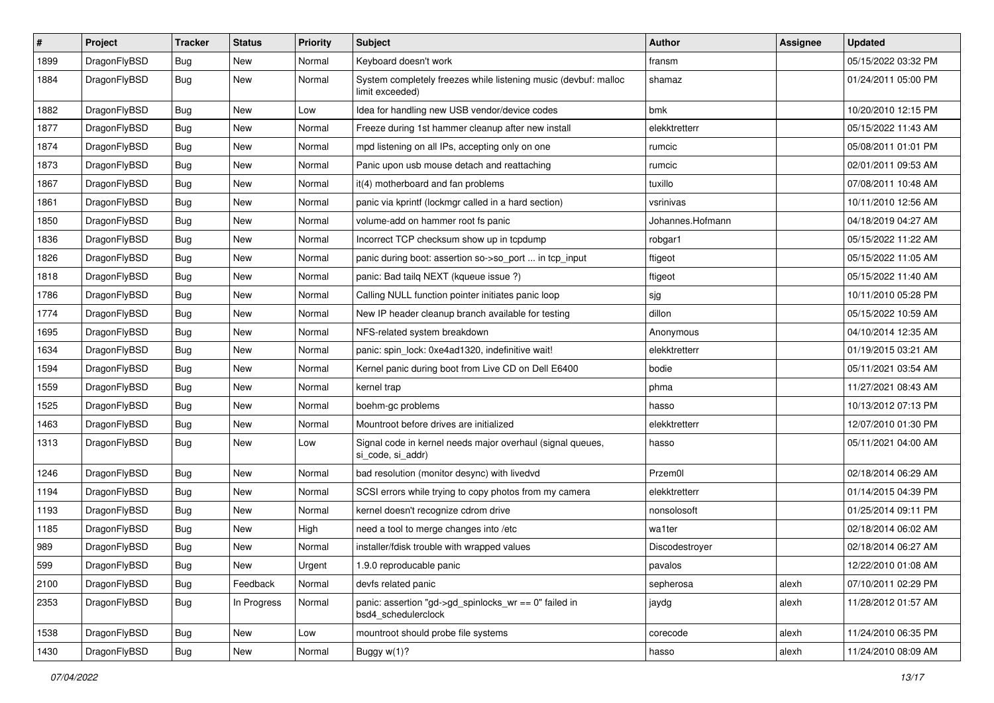| $\sharp$ | Project      | <b>Tracker</b> | <b>Status</b> | <b>Priority</b> | Subject                                                                            | <b>Author</b>    | <b>Assignee</b> | <b>Updated</b>      |
|----------|--------------|----------------|---------------|-----------------|------------------------------------------------------------------------------------|------------------|-----------------|---------------------|
| 1899     | DragonFlyBSD | Bug            | New           | Normal          | Keyboard doesn't work                                                              | fransm           |                 | 05/15/2022 03:32 PM |
| 1884     | DragonFlyBSD | <b>Bug</b>     | New           | Normal          | System completely freezes while listening music (devbuf: malloc<br>limit exceeded) | shamaz           |                 | 01/24/2011 05:00 PM |
| 1882     | DragonFlyBSD | Bug            | <b>New</b>    | Low             | Idea for handling new USB vendor/device codes                                      | bmk              |                 | 10/20/2010 12:15 PM |
| 1877     | DragonFlyBSD | Bug            | <b>New</b>    | Normal          | Freeze during 1st hammer cleanup after new install                                 | elekktretterr    |                 | 05/15/2022 11:43 AM |
| 1874     | DragonFlyBSD | Bug            | <b>New</b>    | Normal          | mpd listening on all IPs, accepting only on one                                    | rumcic           |                 | 05/08/2011 01:01 PM |
| 1873     | DragonFlyBSD | <b>Bug</b>     | <b>New</b>    | Normal          | Panic upon usb mouse detach and reattaching                                        | rumcic           |                 | 02/01/2011 09:53 AM |
| 1867     | DragonFlyBSD | <b>Bug</b>     | <b>New</b>    | Normal          | it(4) motherboard and fan problems                                                 | tuxillo          |                 | 07/08/2011 10:48 AM |
| 1861     | DragonFlyBSD | <b>Bug</b>     | New           | Normal          | panic via kprintf (lockmgr called in a hard section)                               | vsrinivas        |                 | 10/11/2010 12:56 AM |
| 1850     | DragonFlyBSD | Bug            | <b>New</b>    | Normal          | volume-add on hammer root fs panic                                                 | Johannes.Hofmann |                 | 04/18/2019 04:27 AM |
| 1836     | DragonFlyBSD | Bug            | New           | Normal          | Incorrect TCP checksum show up in tcpdump                                          | robgar1          |                 | 05/15/2022 11:22 AM |
| 1826     | DragonFlyBSD | Bug            | <b>New</b>    | Normal          | panic during boot: assertion so->so_port  in tcp_input                             | ftigeot          |                 | 05/15/2022 11:05 AM |
| 1818     | DragonFlyBSD | <b>Bug</b>     | <b>New</b>    | Normal          | panic: Bad tailq NEXT (kqueue issue ?)                                             | ftigeot          |                 | 05/15/2022 11:40 AM |
| 1786     | DragonFlyBSD | <b>Bug</b>     | New           | Normal          | Calling NULL function pointer initiates panic loop                                 | sjg              |                 | 10/11/2010 05:28 PM |
| 1774     | DragonFlyBSD | Bug            | <b>New</b>    | Normal          | New IP header cleanup branch available for testing                                 | dillon           |                 | 05/15/2022 10:59 AM |
| 1695     | DragonFlyBSD | <b>Bug</b>     | New           | Normal          | NFS-related system breakdown                                                       | Anonymous        |                 | 04/10/2014 12:35 AM |
| 1634     | DragonFlyBSD | <b>Bug</b>     | <b>New</b>    | Normal          | panic: spin_lock: 0xe4ad1320, indefinitive wait!                                   | elekktretterr    |                 | 01/19/2015 03:21 AM |
| 1594     | DragonFlyBSD | <b>Bug</b>     | New           | Normal          | Kernel panic during boot from Live CD on Dell E6400                                | bodie            |                 | 05/11/2021 03:54 AM |
| 1559     | DragonFlyBSD | Bug            | New           | Normal          | kernel trap                                                                        | phma             |                 | 11/27/2021 08:43 AM |
| 1525     | DragonFlyBSD | Bug            | New           | Normal          | boehm-gc problems                                                                  | hasso            |                 | 10/13/2012 07:13 PM |
| 1463     | DragonFlyBSD | <b>Bug</b>     | <b>New</b>    | Normal          | Mountroot before drives are initialized                                            | elekktretterr    |                 | 12/07/2010 01:30 PM |
| 1313     | DragonFlyBSD | <b>Bug</b>     | New           | Low             | Signal code in kernel needs major overhaul (signal queues,<br>si_code, si_addr)    | hasso            |                 | 05/11/2021 04:00 AM |
| 1246     | DragonFlyBSD | Bug            | New           | Normal          | bad resolution (monitor desync) with livedvd                                       | Przem0l          |                 | 02/18/2014 06:29 AM |
| 1194     | DragonFlyBSD | <b>Bug</b>     | New           | Normal          | SCSI errors while trying to copy photos from my camera                             | elekktretterr    |                 | 01/14/2015 04:39 PM |
| 1193     | DragonFlyBSD | <b>Bug</b>     | New           | Normal          | kernel doesn't recognize cdrom drive                                               | nonsolosoft      |                 | 01/25/2014 09:11 PM |
| 1185     | DragonFlyBSD | <b>Bug</b>     | New           | High            | need a tool to merge changes into /etc                                             | wa1ter           |                 | 02/18/2014 06:02 AM |
| 989      | DragonFlyBSD | Bug            | <b>New</b>    | Normal          | installer/fdisk trouble with wrapped values                                        | Discodestroyer   |                 | 02/18/2014 06:27 AM |
| 599      | DragonFlyBSD | Bug            | <b>New</b>    | Urgent          | 1.9.0 reproducable panic                                                           | pavalos          |                 | 12/22/2010 01:08 AM |
| 2100     | DragonFlyBSD | <b>Bug</b>     | Feedback      | Normal          | devfs related panic                                                                | sepherosa        | alexh           | 07/10/2011 02:29 PM |
| 2353     | DragonFlyBSD | <b>Bug</b>     | In Progress   | Normal          | panic: assertion "gd->gd_spinlocks_wr == 0" failed in<br>bsd4_schedulerclock       | jaydg            | alexh           | 11/28/2012 01:57 AM |
| 1538     | DragonFlyBSD | <b>Bug</b>     | New           | Low             | mountroot should probe file systems                                                | corecode         | alexh           | 11/24/2010 06:35 PM |
| 1430     | DragonFlyBSD | <b>Bug</b>     | New           | Normal          | Buggy w(1)?                                                                        | hasso            | alexh           | 11/24/2010 08:09 AM |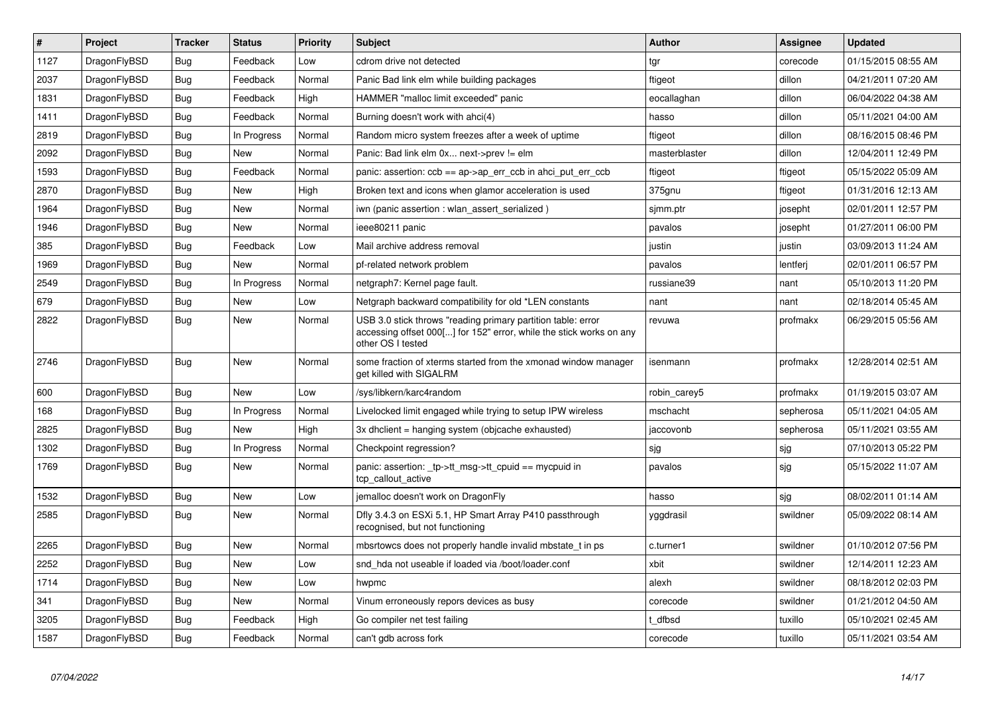| $\vert$ # | <b>Project</b> | <b>Tracker</b> | <b>Status</b> | <b>Priority</b> | <b>Subject</b>                                                                                                                                           | Author        | Assignee  | <b>Updated</b>      |
|-----------|----------------|----------------|---------------|-----------------|----------------------------------------------------------------------------------------------------------------------------------------------------------|---------------|-----------|---------------------|
| 1127      | DragonFlyBSD   | <b>Bug</b>     | Feedback      | Low             | cdrom drive not detected                                                                                                                                 | tgr           | corecode  | 01/15/2015 08:55 AM |
| 2037      | DragonFlyBSD   | <b>Bug</b>     | Feedback      | Normal          | Panic Bad link elm while building packages                                                                                                               | ftigeot       | dillon    | 04/21/2011 07:20 AM |
| 1831      | DragonFlyBSD   | <b>Bug</b>     | Feedback      | High            | HAMMER "malloc limit exceeded" panic                                                                                                                     | eocallaghan   | dillon    | 06/04/2022 04:38 AM |
| 1411      | DragonFlyBSD   | Bug            | Feedback      | Normal          | Burning doesn't work with ahci(4)                                                                                                                        | hasso         | dillon    | 05/11/2021 04:00 AM |
| 2819      | DragonFlyBSD   | Bug            | In Progress   | Normal          | Random micro system freezes after a week of uptime                                                                                                       | ftigeot       | dillon    | 08/16/2015 08:46 PM |
| 2092      | DragonFlyBSD   | Bug            | New           | Normal          | Panic: Bad link elm 0x next->prev != elm                                                                                                                 | masterblaster | dillon    | 12/04/2011 12:49 PM |
| 1593      | DragonFlyBSD   | <b>Bug</b>     | Feedback      | Normal          | panic: assertion: ccb == ap->ap err ccb in ahci put err ccb                                                                                              | ftigeot       | ftigeot   | 05/15/2022 05:09 AM |
| 2870      | DragonFlyBSD   | Bug            | <b>New</b>    | High            | Broken text and icons when glamor acceleration is used                                                                                                   | 375gnu        | ftigeot   | 01/31/2016 12:13 AM |
| 1964      | DragonFlyBSD   | <b>Bug</b>     | New           | Normal          | iwn (panic assertion : wlan_assert_serialized)                                                                                                           | sjmm.ptr      | josepht   | 02/01/2011 12:57 PM |
| 1946      | DragonFlyBSD   | Bug            | New           | Normal          | ieee80211 panic                                                                                                                                          | pavalos       | josepht   | 01/27/2011 06:00 PM |
| 385       | DragonFlyBSD   | Bug            | Feedback      | Low             | Mail archive address removal                                                                                                                             | justin        | justin    | 03/09/2013 11:24 AM |
| 1969      | DragonFlyBSD   | <b>Bug</b>     | New           | Normal          | pf-related network problem                                                                                                                               | pavalos       | lentferj  | 02/01/2011 06:57 PM |
| 2549      | DragonFlyBSD   | <b>Bug</b>     | In Progress   | Normal          | netgraph7: Kernel page fault.                                                                                                                            | russiane39    | nant      | 05/10/2013 11:20 PM |
| 679       | DragonFlyBSD   | <b>Bug</b>     | New           | Low             | Netgraph backward compatibility for old *LEN constants                                                                                                   | nant          | nant      | 02/18/2014 05:45 AM |
| 2822      | DragonFlyBSD   | Bug            | New           | Normal          | USB 3.0 stick throws "reading primary partition table: error<br>accessing offset 000[] for 152" error, while the stick works on any<br>other OS I tested | revuwa        | profmakx  | 06/29/2015 05:56 AM |
| 2746      | DragonFlyBSD   | <b>Bug</b>     | <b>New</b>    | Normal          | some fraction of xterms started from the xmonad window manager<br>get killed with SIGALRM                                                                | isenmann      | profmakx  | 12/28/2014 02:51 AM |
| 600       | DragonFlyBSD   | <b>Bug</b>     | <b>New</b>    | Low             | /sys/libkern/karc4random                                                                                                                                 | robin_carey5  | profmakx  | 01/19/2015 03:07 AM |
| 168       | DragonFlyBSD   | <b>Bug</b>     | In Progress   | Normal          | Livelocked limit engaged while trying to setup IPW wireless                                                                                              | mschacht      | sepherosa | 05/11/2021 04:05 AM |
| 2825      | DragonFlyBSD   | <b>Bug</b>     | <b>New</b>    | High            | 3x dhclient = hanging system (objcache exhausted)                                                                                                        | jaccovonb     | sepherosa | 05/11/2021 03:55 AM |
| 1302      | DragonFlyBSD   | <b>Bug</b>     | In Progress   | Normal          | Checkpoint regression?                                                                                                                                   | sjg           | sjg       | 07/10/2013 05:22 PM |
| 1769      | DragonFlyBSD   | Bug            | New           | Normal          | panic: assertion: tp->tt_msg->tt_cpuid == mycpuid in<br>tcp callout active                                                                               | pavalos       | sjg       | 05/15/2022 11:07 AM |
| 1532      | DragonFlyBSD   | <b>Bug</b>     | <b>New</b>    | Low             | jemalloc doesn't work on DragonFly                                                                                                                       | hasso         | sjg       | 08/02/2011 01:14 AM |
| 2585      | DragonFlyBSD   | Bug            | New           | Normal          | Dfly 3.4.3 on ESXi 5.1, HP Smart Array P410 passthrough<br>recognised, but not functioning                                                               | yggdrasil     | swildner  | 05/09/2022 08:14 AM |
| 2265      | DragonFlyBSD   | <b>Bug</b>     | New           | Normal          | mbsrtowcs does not properly handle invalid mbstate t in ps                                                                                               | c.turner1     | swildner  | 01/10/2012 07:56 PM |
| 2252      | DragonFlyBSD   | <b>Bug</b>     | <b>New</b>    | Low             | snd hda not useable if loaded via /boot/loader.conf                                                                                                      | xbit          | swildner  | 12/14/2011 12:23 AM |
| 1714      | DragonFlyBSD   | <b>Bug</b>     | New           | Low             | hwpmc                                                                                                                                                    | alexh         | swildner  | 08/18/2012 02:03 PM |
| 341       | DragonFlyBSD   | Bug            | New           | Normal          | Vinum erroneously repors devices as busy                                                                                                                 | corecode      | swildner  | 01/21/2012 04:50 AM |
| 3205      | DragonFlyBSD   | Bug            | Feedback      | High            | Go compiler net test failing                                                                                                                             | t dfbsd       | tuxillo   | 05/10/2021 02:45 AM |
| 1587      | DragonFlyBSD   | <b>Bug</b>     | Feedback      | Normal          | can't gdb across fork                                                                                                                                    | corecode      | tuxillo   | 05/11/2021 03:54 AM |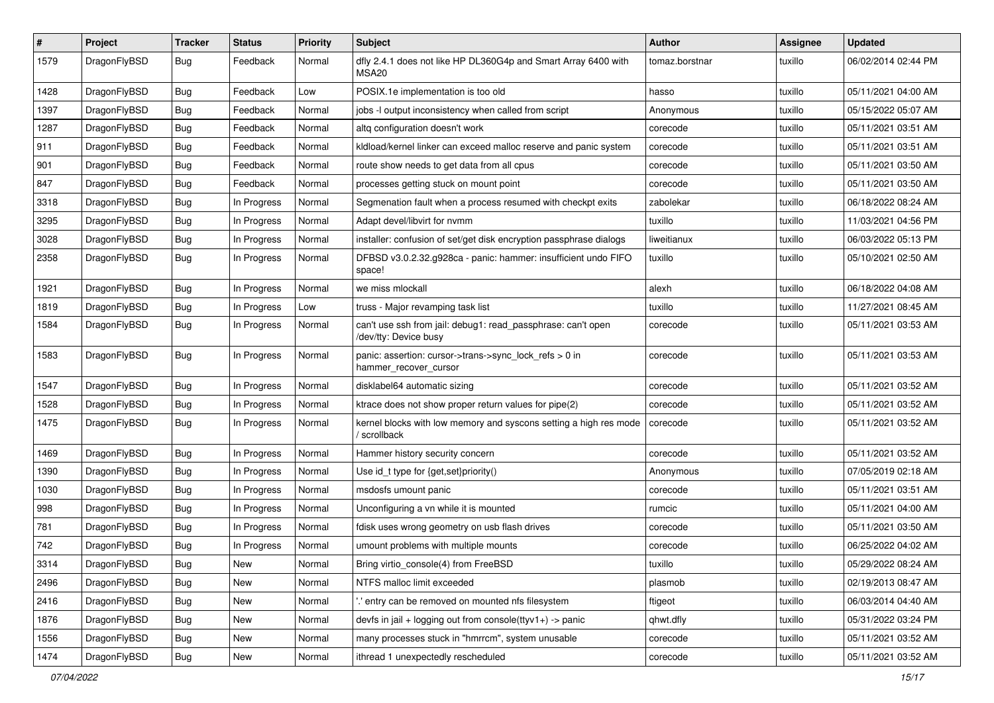| $\#$ | Project      | <b>Tracker</b> | <b>Status</b> | <b>Priority</b> | <b>Subject</b>                                                                        | <b>Author</b>  | <b>Assignee</b> | <b>Updated</b>      |
|------|--------------|----------------|---------------|-----------------|---------------------------------------------------------------------------------------|----------------|-----------------|---------------------|
| 1579 | DragonFlyBSD | Bug            | Feedback      | Normal          | dfly 2.4.1 does not like HP DL360G4p and Smart Array 6400 with<br>MSA20               | tomaz.borstnar | tuxillo         | 06/02/2014 02:44 PM |
| 1428 | DragonFlyBSD | <b>Bug</b>     | Feedback      | Low             | POSIX.1e implementation is too old                                                    | hasso          | tuxillo         | 05/11/2021 04:00 AM |
| 1397 | DragonFlyBSD | <b>Bug</b>     | Feedback      | Normal          | jobs -I output inconsistency when called from script                                  | Anonymous      | tuxillo         | 05/15/2022 05:07 AM |
| 1287 | DragonFlyBSD | Bug            | Feedback      | Normal          | altq configuration doesn't work                                                       | corecode       | tuxillo         | 05/11/2021 03:51 AM |
| 911  | DragonFlyBSD | <b>Bug</b>     | Feedback      | Normal          | kldload/kernel linker can exceed malloc reserve and panic system                      | corecode       | tuxillo         | 05/11/2021 03:51 AM |
| 901  | DragonFlyBSD | <b>Bug</b>     | Feedback      | Normal          | route show needs to get data from all cpus                                            | corecode       | tuxillo         | 05/11/2021 03:50 AM |
| 847  | DragonFlyBSD | <b>Bug</b>     | Feedback      | Normal          | processes getting stuck on mount point                                                | corecode       | tuxillo         | 05/11/2021 03:50 AM |
| 3318 | DragonFlyBSD | <b>Bug</b>     | In Progress   | Normal          | Segmenation fault when a process resumed with checkpt exits                           | zabolekar      | tuxillo         | 06/18/2022 08:24 AM |
| 3295 | DragonFlyBSD | <b>Bug</b>     | In Progress   | Normal          | Adapt devel/libvirt for nvmm                                                          | tuxillo        | tuxillo         | 11/03/2021 04:56 PM |
| 3028 | DragonFlyBSD | <b>Bug</b>     | In Progress   | Normal          | installer: confusion of set/get disk encryption passphrase dialogs                    | liweitianux    | tuxillo         | 06/03/2022 05:13 PM |
| 2358 | DragonFlyBSD | <b>Bug</b>     | In Progress   | Normal          | DFBSD v3.0.2.32.g928ca - panic: hammer: insufficient undo FIFO<br>space!              | tuxillo        | tuxillo         | 05/10/2021 02:50 AM |
| 1921 | DragonFlyBSD | Bug            | In Progress   | Normal          | we miss mlockall                                                                      | alexh          | tuxillo         | 06/18/2022 04:08 AM |
| 1819 | DragonFlyBSD | <b>Bug</b>     | In Progress   | Low             | truss - Major revamping task list                                                     | tuxillo        | tuxillo         | 11/27/2021 08:45 AM |
| 1584 | DragonFlyBSD | <b>Bug</b>     | In Progress   | Normal          | can't use ssh from jail: debug1: read_passphrase: can't open<br>/dev/tty: Device busy | corecode       | tuxillo         | 05/11/2021 03:53 AM |
| 1583 | DragonFlyBSD | Bug            | In Progress   | Normal          | panic: assertion: cursor->trans->sync_lock_refs > 0 in<br>hammer_recover_cursor       | corecode       | tuxillo         | 05/11/2021 03:53 AM |
| 1547 | DragonFlyBSD | Bug            | In Progress   | Normal          | disklabel64 automatic sizing                                                          | corecode       | tuxillo         | 05/11/2021 03:52 AM |
| 1528 | DragonFlyBSD | Bug            | In Progress   | Normal          | ktrace does not show proper return values for pipe(2)                                 | corecode       | tuxillo         | 05/11/2021 03:52 AM |
| 1475 | DragonFlyBSD | <b>Bug</b>     | In Progress   | Normal          | kernel blocks with low memory and syscons setting a high res mode<br>/ scrollback     | corecode       | tuxillo         | 05/11/2021 03:52 AM |
| 1469 | DragonFlyBSD | Bug            | In Progress   | Normal          | Hammer history security concern                                                       | corecode       | tuxillo         | 05/11/2021 03:52 AM |
| 1390 | DragonFlyBSD | <b>Bug</b>     | In Progress   | Normal          | Use id_t type for {get,set}priority()                                                 | Anonymous      | tuxillo         | 07/05/2019 02:18 AM |
| 1030 | DragonFlyBSD | <b>Bug</b>     | In Progress   | Normal          | msdosfs umount panic                                                                  | corecode       | tuxillo         | 05/11/2021 03:51 AM |
| 998  | DragonFlyBSD | Bug            | In Progress   | Normal          | Unconfiguring a vn while it is mounted                                                | rumcic         | tuxillo         | 05/11/2021 04:00 AM |
| 781  | DragonFlyBSD | <b>Bug</b>     | In Progress   | Normal          | fdisk uses wrong geometry on usb flash drives                                         | corecode       | tuxillo         | 05/11/2021 03:50 AM |
| 742  | DragonFlyBSD | Bug            | In Progress   | Normal          | umount problems with multiple mounts                                                  | corecode       | tuxillo         | 06/25/2022 04:02 AM |
| 3314 | DragonFlyBSD | Bug            | <b>New</b>    | Normal          | Bring virtio_console(4) from FreeBSD                                                  | tuxillo        | tuxillo         | 05/29/2022 08:24 AM |
| 2496 | DragonFlyBSD | <b>Bug</b>     | New           | Normal          | NTFS malloc limit exceeded                                                            | plasmob        | tuxillo         | 02/19/2013 08:47 AM |
| 2416 | DragonFlyBSD | <b>Bug</b>     | New           | Normal          | ".' entry can be removed on mounted nfs filesystem                                    | ftigeot        | tuxillo         | 06/03/2014 04:40 AM |
| 1876 | DragonFlyBSD | <b>Bug</b>     | New           | Normal          | devfs in jail + logging out from console( $t$ tyv1+) -> panic                         | qhwt.dfly      | tuxillo         | 05/31/2022 03:24 PM |
| 1556 | DragonFlyBSD | <b>Bug</b>     | New           | Normal          | many processes stuck in "hmrrcm", system unusable                                     | corecode       | tuxillo         | 05/11/2021 03:52 AM |
| 1474 | DragonFlyBSD | <b>Bug</b>     | New           | Normal          | ithread 1 unexpectedly rescheduled                                                    | corecode       | tuxillo         | 05/11/2021 03:52 AM |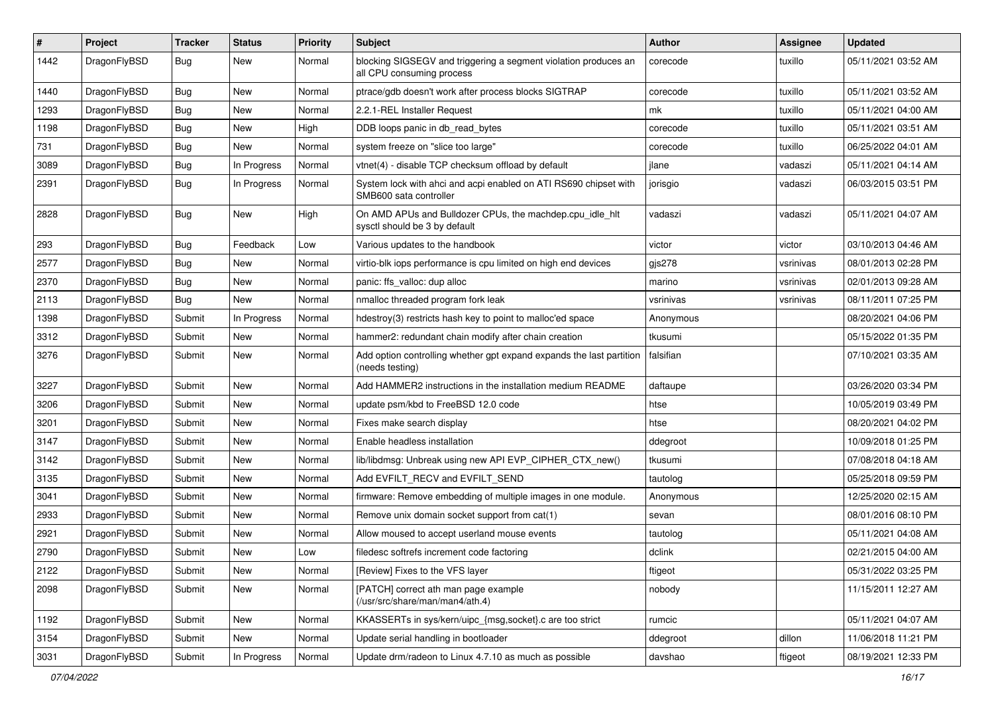| $\vert$ # | Project      | <b>Tracker</b> | <b>Status</b> | <b>Priority</b> | <b>Subject</b>                                                                               | Author    | Assignee  | <b>Updated</b>      |
|-----------|--------------|----------------|---------------|-----------------|----------------------------------------------------------------------------------------------|-----------|-----------|---------------------|
| 1442      | DragonFlyBSD | Bug            | New           | Normal          | blocking SIGSEGV and triggering a segment violation produces an<br>all CPU consuming process | corecode  | tuxillo   | 05/11/2021 03:52 AM |
| 1440      | DragonFlyBSD | <b>Bug</b>     | New           | Normal          | ptrace/gdb doesn't work after process blocks SIGTRAP                                         | corecode  | tuxillo   | 05/11/2021 03:52 AM |
| 1293      | DragonFlyBSD | <b>Bug</b>     | New           | Normal          | 2.2.1-REL Installer Request                                                                  | mk        | tuxillo   | 05/11/2021 04:00 AM |
| 1198      | DragonFlyBSD | <b>Bug</b>     | New           | High            | DDB loops panic in db_read_bytes                                                             | corecode  | tuxillo   | 05/11/2021 03:51 AM |
| 731       | DragonFlyBSD | <b>Bug</b>     | New           | Normal          | system freeze on "slice too large"                                                           | corecode  | tuxillo   | 06/25/2022 04:01 AM |
| 3089      | DragonFlyBSD | Bug            | In Progress   | Normal          | vtnet(4) - disable TCP checksum offload by default                                           | jlane     | vadaszi   | 05/11/2021 04:14 AM |
| 2391      | DragonFlyBSD | Bug            | In Progress   | Normal          | System lock with ahci and acpi enabled on ATI RS690 chipset with<br>SMB600 sata controller   | jorisgio  | vadaszi   | 06/03/2015 03:51 PM |
| 2828      | DragonFlyBSD | Bug            | <b>New</b>    | High            | On AMD APUs and Bulldozer CPUs, the machdep.cpu_idle_hlt<br>sysctl should be 3 by default    | vadaszi   | vadaszi   | 05/11/2021 04:07 AM |
| 293       | DragonFlyBSD | <b>Bug</b>     | Feedback      | Low             | Various updates to the handbook                                                              | victor    | victor    | 03/10/2013 04:46 AM |
| 2577      | DragonFlyBSD | <b>Bug</b>     | <b>New</b>    | Normal          | virtio-blk iops performance is cpu limited on high end devices                               | gjs278    | vsrinivas | 08/01/2013 02:28 PM |
| 2370      | DragonFlyBSD | <b>Bug</b>     | New           | Normal          | panic: ffs valloc: dup alloc                                                                 | marino    | vsrinivas | 02/01/2013 09:28 AM |
| 2113      | DragonFlyBSD | Bug            | New           | Normal          | nmalloc threaded program fork leak                                                           | vsrinivas | vsrinivas | 08/11/2011 07:25 PM |
| 1398      | DragonFlyBSD | Submit         | In Progress   | Normal          | hdestroy(3) restricts hash key to point to malloc'ed space                                   | Anonymous |           | 08/20/2021 04:06 PM |
| 3312      | DragonFlyBSD | Submit         | New           | Normal          | hammer2: redundant chain modify after chain creation                                         | tkusumi   |           | 05/15/2022 01:35 PM |
| 3276      | DragonFlyBSD | Submit         | New           | Normal          | Add option controlling whether gpt expand expands the last partition<br>(needs testing)      | falsifian |           | 07/10/2021 03:35 AM |
| 3227      | DragonFlyBSD | Submit         | <b>New</b>    | Normal          | Add HAMMER2 instructions in the installation medium README                                   | daftaupe  |           | 03/26/2020 03:34 PM |
| 3206      | DragonFlyBSD | Submit         | <b>New</b>    | Normal          | update psm/kbd to FreeBSD 12.0 code                                                          | htse      |           | 10/05/2019 03:49 PM |
| 3201      | DragonFlyBSD | Submit         | New           | Normal          | Fixes make search display                                                                    | htse      |           | 08/20/2021 04:02 PM |
| 3147      | DragonFlyBSD | Submit         | New           | Normal          | Enable headless installation                                                                 | ddegroot  |           | 10/09/2018 01:25 PM |
| 3142      | DragonFlyBSD | Submit         | New           | Normal          | lib/libdmsg: Unbreak using new API EVP_CIPHER_CTX_new()                                      | tkusumi   |           | 07/08/2018 04:18 AM |
| 3135      | DragonFlyBSD | Submit         | New           | Normal          | Add EVFILT_RECV and EVFILT_SEND                                                              | tautolog  |           | 05/25/2018 09:59 PM |
| 3041      | DragonFlyBSD | Submit         | New           | Normal          | firmware: Remove embedding of multiple images in one module.                                 | Anonymous |           | 12/25/2020 02:15 AM |
| 2933      | DragonFlyBSD | Submit         | New           | Normal          | Remove unix domain socket support from cat(1)                                                | sevan     |           | 08/01/2016 08:10 PM |
| 2921      | DragonFlyBSD | Submit         | New           | Normal          | Allow moused to accept userland mouse events                                                 | tautolog  |           | 05/11/2021 04:08 AM |
| 2790      | DragonFlyBSD | Submit         | New           | Low             | filedesc softrefs increment code factoring                                                   | dclink    |           | 02/21/2015 04:00 AM |
| 2122      | DragonFlyBSD | Submit         | New           | Normal          | [Review] Fixes to the VFS layer                                                              | ftigeot   |           | 05/31/2022 03:25 PM |
| 2098      | DragonFlyBSD | Submit         | New           | Normal          | [PATCH] correct ath man page example<br>(/usr/src/share/man/man4/ath.4)                      | nobody    |           | 11/15/2011 12:27 AM |
| 1192      | DragonFlyBSD | Submit         | New           | Normal          | KKASSERTs in sys/kern/uipc_{msg,socket}.c are too strict                                     | rumcic    |           | 05/11/2021 04:07 AM |
| 3154      | DragonFlyBSD | Submit         | New           | Normal          | Update serial handling in bootloader                                                         | ddegroot  | dillon    | 11/06/2018 11:21 PM |
| 3031      | DragonFlyBSD | Submit         | In Progress   | Normal          | Update drm/radeon to Linux 4.7.10 as much as possible                                        | davshao   | ftigeot   | 08/19/2021 12:33 PM |